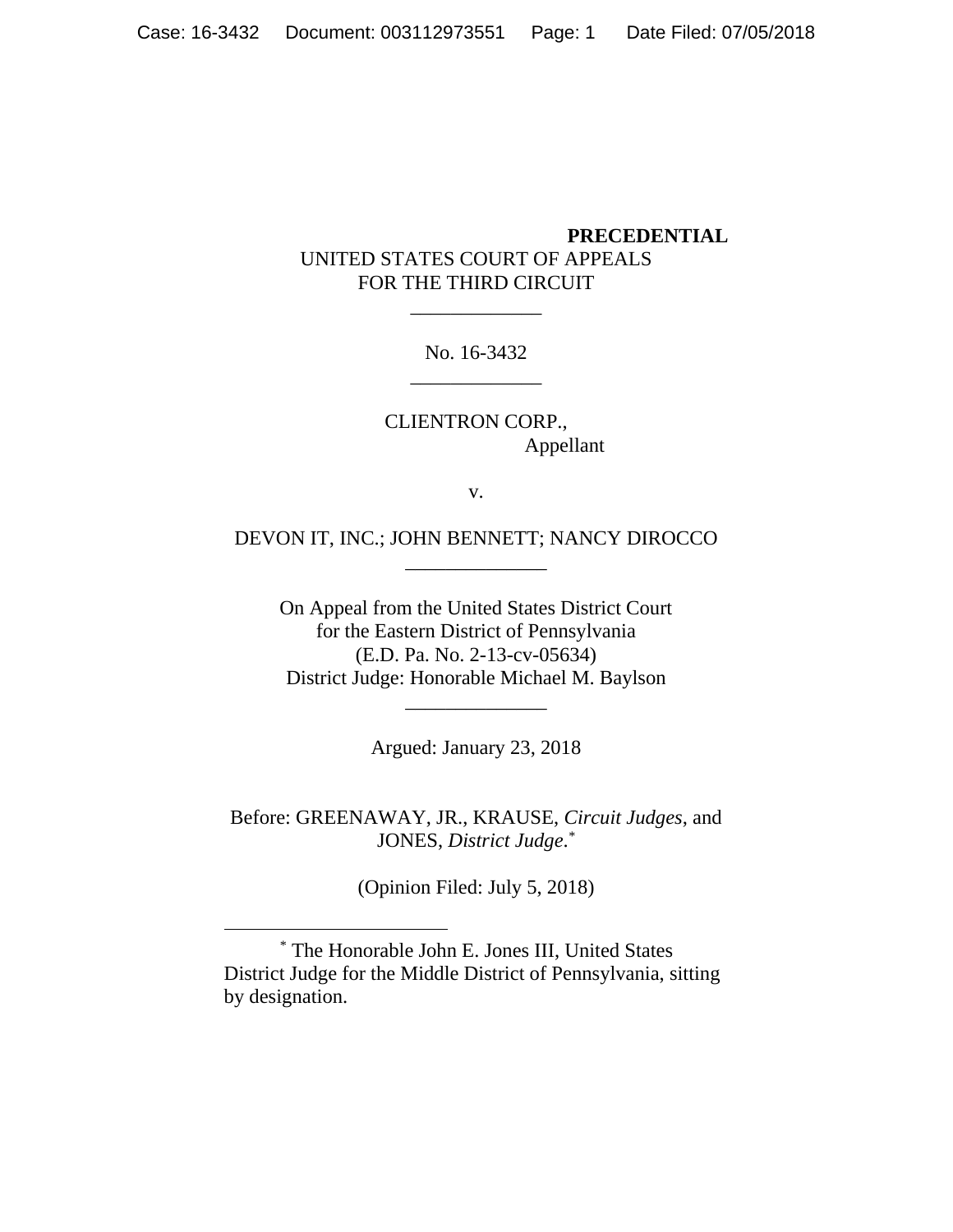## **PRECEDENTIAL** UNITED STATES COURT OF APPEALS FOR THE THIRD CIRCUIT

No. 16-3432 \_\_\_\_\_\_\_\_\_\_\_\_\_

\_\_\_\_\_\_\_\_\_\_\_\_\_

CLIENTRON CORP., Appellant

v.

DEVON IT, INC.; JOHN BENNETT; NANCY DIROCCO \_\_\_\_\_\_\_\_\_\_\_\_\_\_

On Appeal from the United States District Court for the Eastern District of Pennsylvania (E.D. Pa. No. 2-13-cv-05634) District Judge: Honorable Michael M. Baylson

Argued: January 23, 2018

\_\_\_\_\_\_\_\_\_\_\_\_\_\_

Before: GREENAWAY, JR., KRAUSE, *Circuit Judges*, and JONES, *District Judge*. *\**

(Opinion Filed: July 5, 2018)

 $*$  The Honorable John E. Jones III, United States District Judge for the Middle District of Pennsylvania, sitting by designation.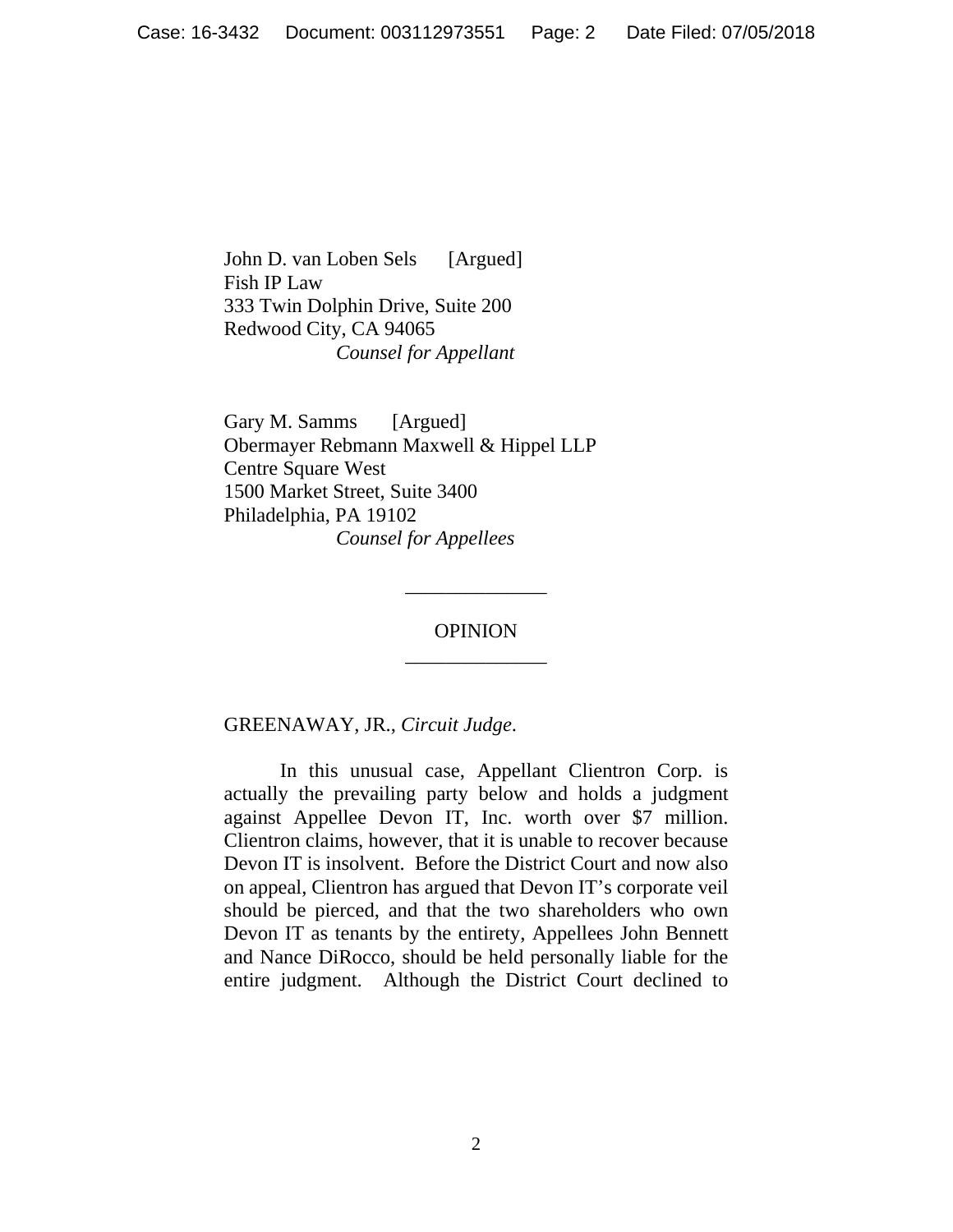John D. van Loben Sels [Argued] Fish IP Law 333 Twin Dolphin Drive, Suite 200 Redwood City, CA 94065 *Counsel for Appellant* 

Gary M. Samms [Argued] Obermayer Rebmann Maxwell & Hippel LLP Centre Square West 1500 Market Street, Suite 3400 Philadelphia, PA 19102 *Counsel for Appellees* 

> OPINION \_\_\_\_\_\_\_\_\_\_\_\_\_\_

> \_\_\_\_\_\_\_\_\_\_\_\_\_\_

GREENAWAY, JR., *Circuit Judge*.

 In this unusual case, Appellant Clientron Corp. is actually the prevailing party below and holds a judgment against Appellee Devon IT, Inc. worth over \$7 million. Clientron claims, however, that it is unable to recover because Devon IT is insolvent. Before the District Court and now also on appeal, Clientron has argued that Devon IT's corporate veil should be pierced, and that the two shareholders who own Devon IT as tenants by the entirety, Appellees John Bennett and Nance DiRocco, should be held personally liable for the entire judgment. Although the District Court declined to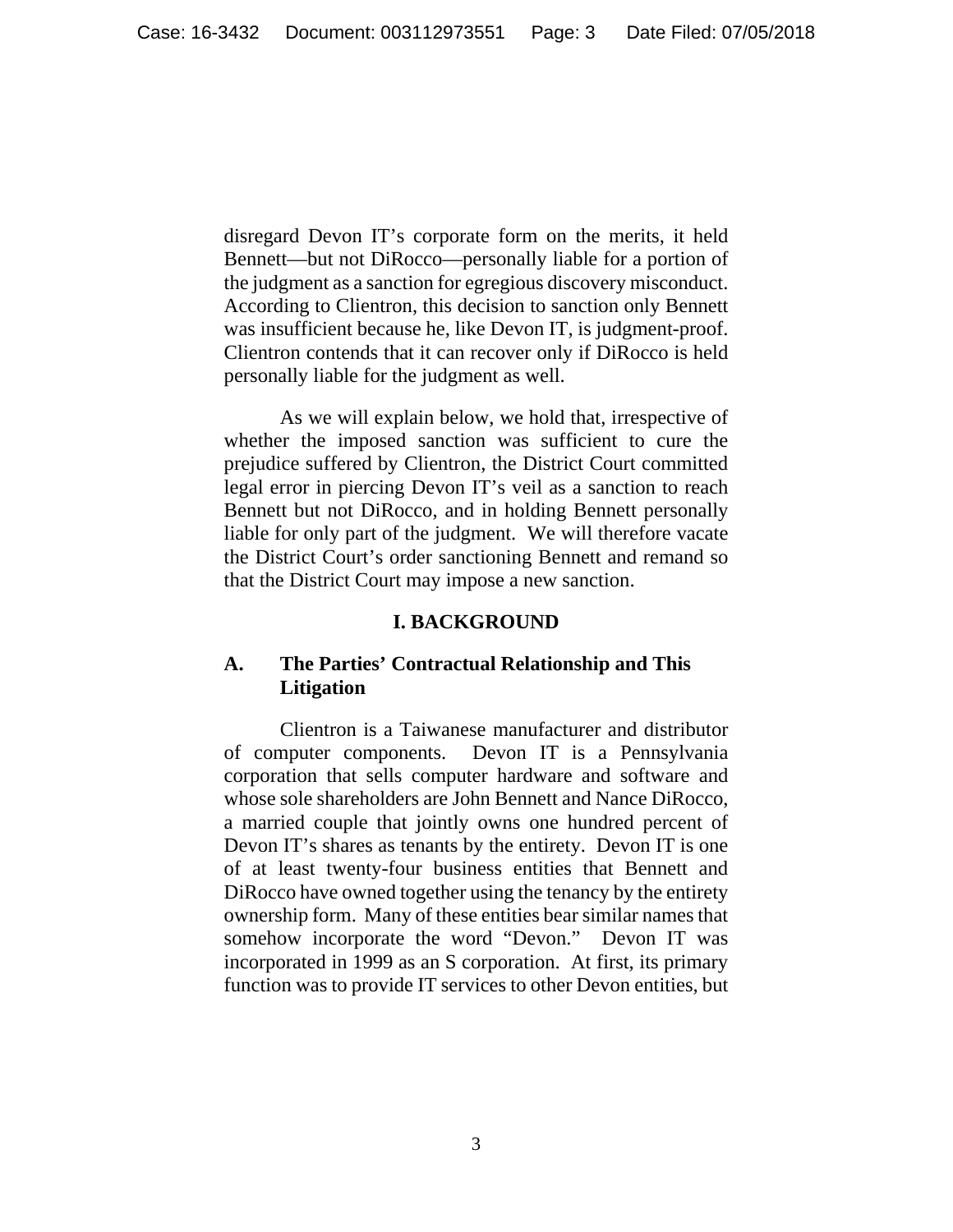disregard Devon IT's corporate form on the merits, it held Bennett—but not DiRocco—personally liable for a portion of the judgment as a sanction for egregious discovery misconduct. According to Clientron, this decision to sanction only Bennett was insufficient because he, like Devon IT, is judgment-proof. Clientron contends that it can recover only if DiRocco is held personally liable for the judgment as well.

 As we will explain below, we hold that, irrespective of whether the imposed sanction was sufficient to cure the prejudice suffered by Clientron, the District Court committed legal error in piercing Devon IT's veil as a sanction to reach Bennett but not DiRocco, and in holding Bennett personally liable for only part of the judgment. We will therefore vacate the District Court's order sanctioning Bennett and remand so that the District Court may impose a new sanction.

## **I. BACKGROUND**

# **A. The Parties' Contractual Relationship and This Litigation**

Clientron is a Taiwanese manufacturer and distributor of computer components. Devon IT is a Pennsylvania corporation that sells computer hardware and software and whose sole shareholders are John Bennett and Nance DiRocco, a married couple that jointly owns one hundred percent of Devon IT's shares as tenants by the entirety. Devon IT is one of at least twenty-four business entities that Bennett and DiRocco have owned together using the tenancy by the entirety ownership form. Many of these entities bear similar names that somehow incorporate the word "Devon." Devon IT was incorporated in 1999 as an S corporation. At first, its primary function was to provide IT services to other Devon entities, but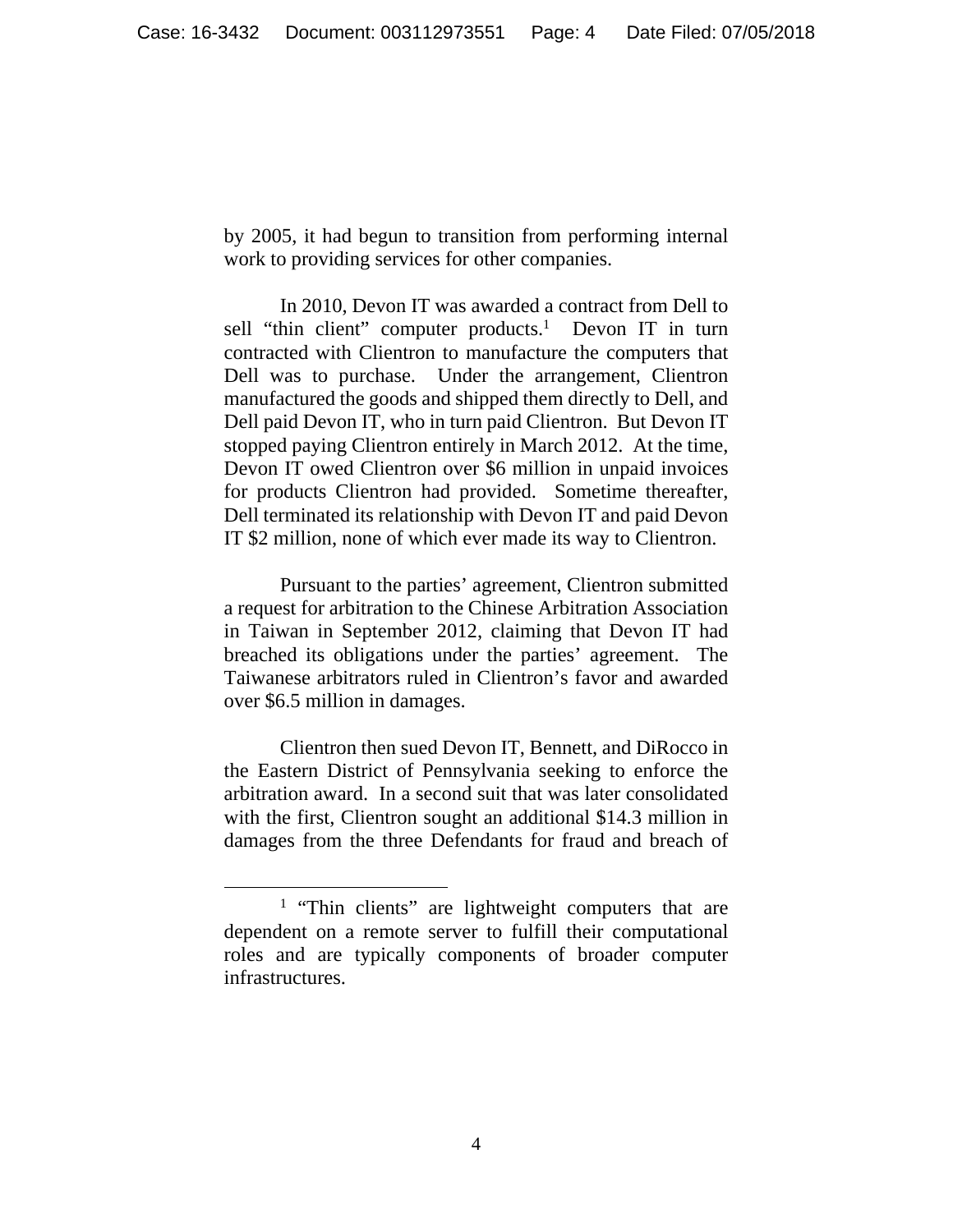by 2005, it had begun to transition from performing internal work to providing services for other companies.

 In 2010, Devon IT was awarded a contract from Dell to sell "thin client" computer products.<sup>1</sup> Devon IT in turn contracted with Clientron to manufacture the computers that Dell was to purchase. Under the arrangement, Clientron manufactured the goods and shipped them directly to Dell, and Dell paid Devon IT, who in turn paid Clientron. But Devon IT stopped paying Clientron entirely in March 2012. At the time, Devon IT owed Clientron over \$6 million in unpaid invoices for products Clientron had provided. Sometime thereafter, Dell terminated its relationship with Devon IT and paid Devon IT \$2 million, none of which ever made its way to Clientron.

 Pursuant to the parties' agreement, Clientron submitted a request for arbitration to the Chinese Arbitration Association in Taiwan in September 2012, claiming that Devon IT had breached its obligations under the parties' agreement. The Taiwanese arbitrators ruled in Clientron's favor and awarded over \$6.5 million in damages.

 Clientron then sued Devon IT, Bennett, and DiRocco in the Eastern District of Pennsylvania seeking to enforce the arbitration award. In a second suit that was later consolidated with the first, Clientron sought an additional \$14.3 million in damages from the three Defendants for fraud and breach of

 $\overline{\phantom{a}}$ <sup>1</sup> "Thin clients" are lightweight computers that are dependent on a remote server to fulfill their computational roles and are typically components of broader computer infrastructures.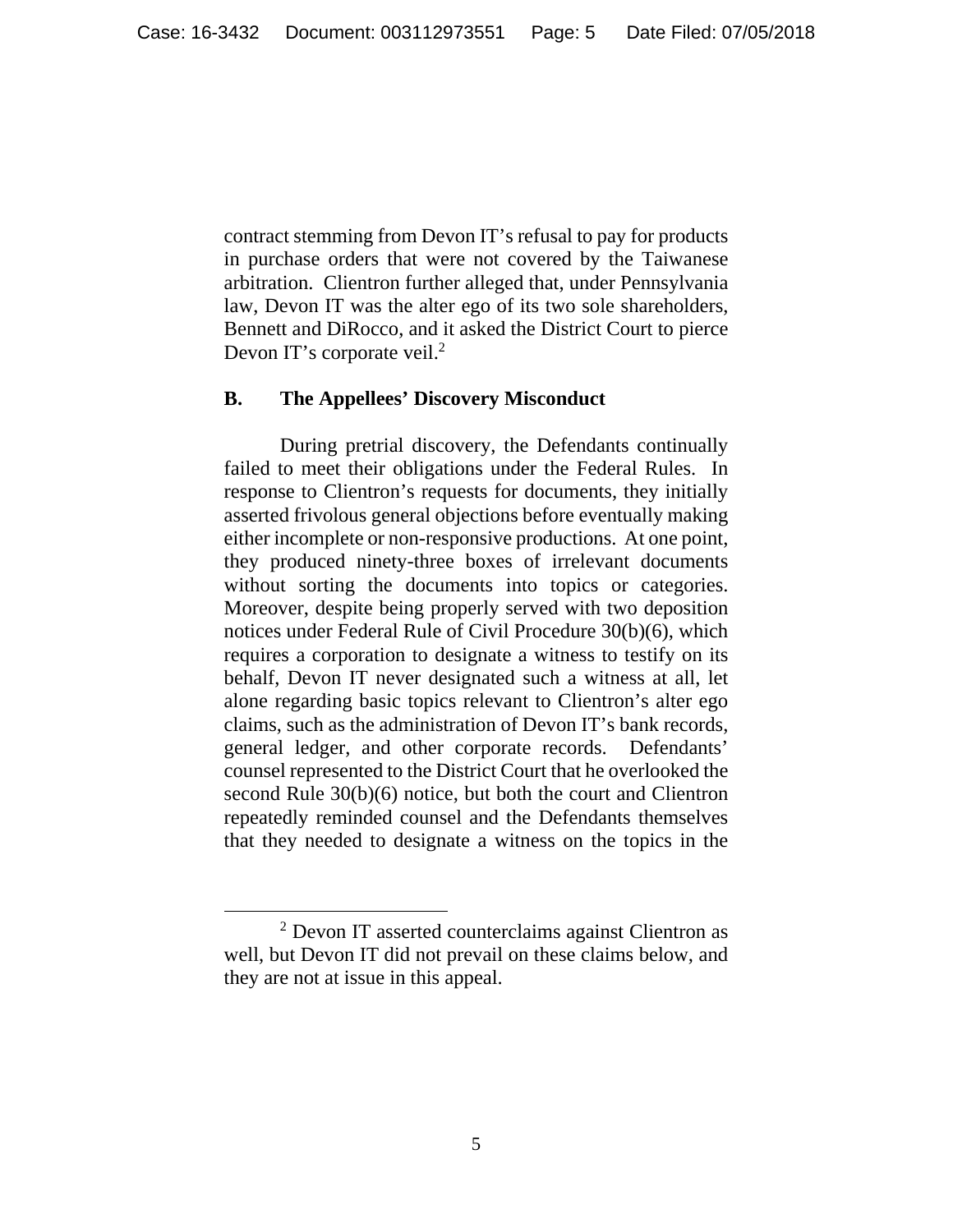contract stemming from Devon IT's refusal to pay for products in purchase orders that were not covered by the Taiwanese arbitration. Clientron further alleged that, under Pennsylvania law, Devon IT was the alter ego of its two sole shareholders, Bennett and DiRocco, and it asked the District Court to pierce Devon IT's corporate veil.<sup>2</sup>

### **B. The Appellees' Discovery Misconduct**

 During pretrial discovery, the Defendants continually failed to meet their obligations under the Federal Rules. In response to Clientron's requests for documents, they initially asserted frivolous general objections before eventually making either incomplete or non-responsive productions. At one point, they produced ninety-three boxes of irrelevant documents without sorting the documents into topics or categories. Moreover, despite being properly served with two deposition notices under Federal Rule of Civil Procedure 30(b)(6), which requires a corporation to designate a witness to testify on its behalf, Devon IT never designated such a witness at all, let alone regarding basic topics relevant to Clientron's alter ego claims, such as the administration of Devon IT's bank records, general ledger, and other corporate records. Defendants' counsel represented to the District Court that he overlooked the second Rule 30(b)(6) notice, but both the court and Clientron repeatedly reminded counsel and the Defendants themselves that they needed to designate a witness on the topics in the

 <sup>2</sup> Devon IT asserted counterclaims against Clientron as well, but Devon IT did not prevail on these claims below, and they are not at issue in this appeal.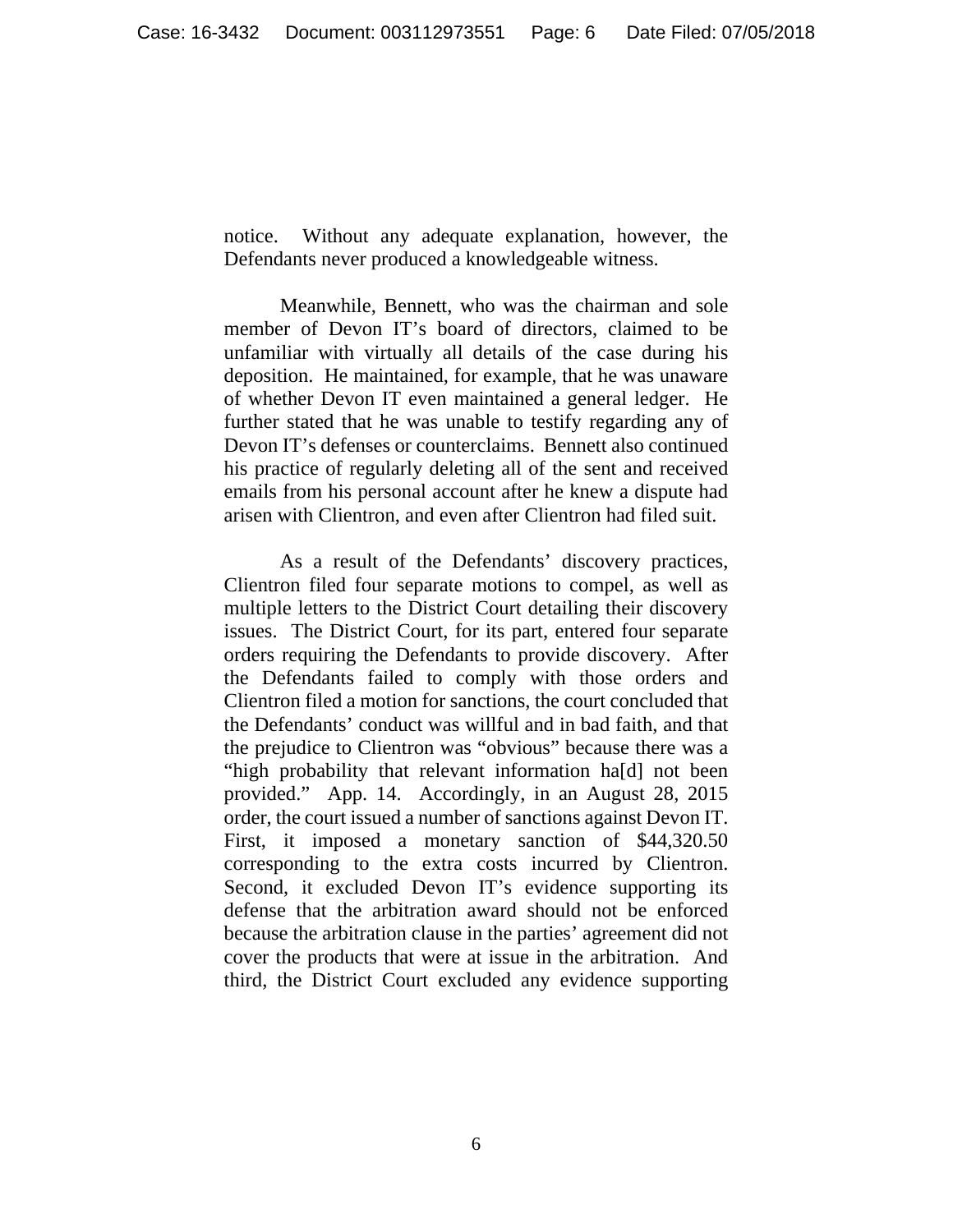notice. Without any adequate explanation, however, the Defendants never produced a knowledgeable witness.

 Meanwhile, Bennett, who was the chairman and sole member of Devon IT's board of directors, claimed to be unfamiliar with virtually all details of the case during his deposition. He maintained, for example, that he was unaware of whether Devon IT even maintained a general ledger. He further stated that he was unable to testify regarding any of Devon IT's defenses or counterclaims. Bennett also continued his practice of regularly deleting all of the sent and received emails from his personal account after he knew a dispute had arisen with Clientron, and even after Clientron had filed suit.

 As a result of the Defendants' discovery practices, Clientron filed four separate motions to compel, as well as multiple letters to the District Court detailing their discovery issues. The District Court, for its part, entered four separate orders requiring the Defendants to provide discovery. After the Defendants failed to comply with those orders and Clientron filed a motion for sanctions, the court concluded that the Defendants' conduct was willful and in bad faith, and that the prejudice to Clientron was "obvious" because there was a "high probability that relevant information ha[d] not been provided." App. 14. Accordingly, in an August 28, 2015 order, the court issued a number of sanctions against Devon IT. First, it imposed a monetary sanction of \$44,320.50 corresponding to the extra costs incurred by Clientron. Second, it excluded Devon IT's evidence supporting its defense that the arbitration award should not be enforced because the arbitration clause in the parties' agreement did not cover the products that were at issue in the arbitration. And third, the District Court excluded any evidence supporting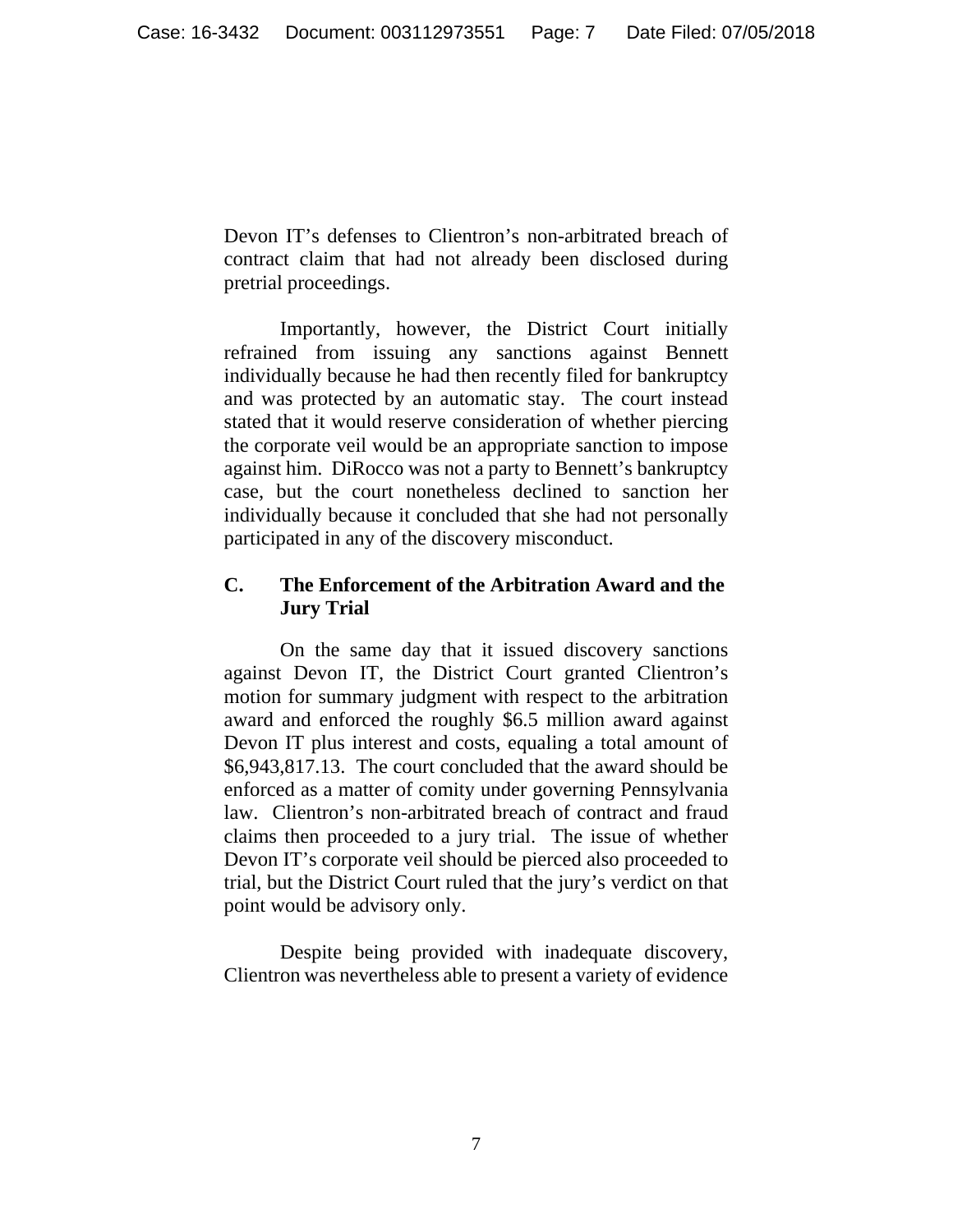Devon IT's defenses to Clientron's non-arbitrated breach of contract claim that had not already been disclosed during pretrial proceedings.

 Importantly, however, the District Court initially refrained from issuing any sanctions against Bennett individually because he had then recently filed for bankruptcy and was protected by an automatic stay. The court instead stated that it would reserve consideration of whether piercing the corporate veil would be an appropriate sanction to impose against him. DiRocco was not a party to Bennett's bankruptcy case, but the court nonetheless declined to sanction her individually because it concluded that she had not personally participated in any of the discovery misconduct.

# **C. The Enforcement of the Arbitration Award and the Jury Trial**

On the same day that it issued discovery sanctions against Devon IT, the District Court granted Clientron's motion for summary judgment with respect to the arbitration award and enforced the roughly \$6.5 million award against Devon IT plus interest and costs, equaling a total amount of \$6,943,817.13. The court concluded that the award should be enforced as a matter of comity under governing Pennsylvania law. Clientron's non-arbitrated breach of contract and fraud claims then proceeded to a jury trial. The issue of whether Devon IT's corporate veil should be pierced also proceeded to trial, but the District Court ruled that the jury's verdict on that point would be advisory only.

 Despite being provided with inadequate discovery, Clientron was nevertheless able to present a variety of evidence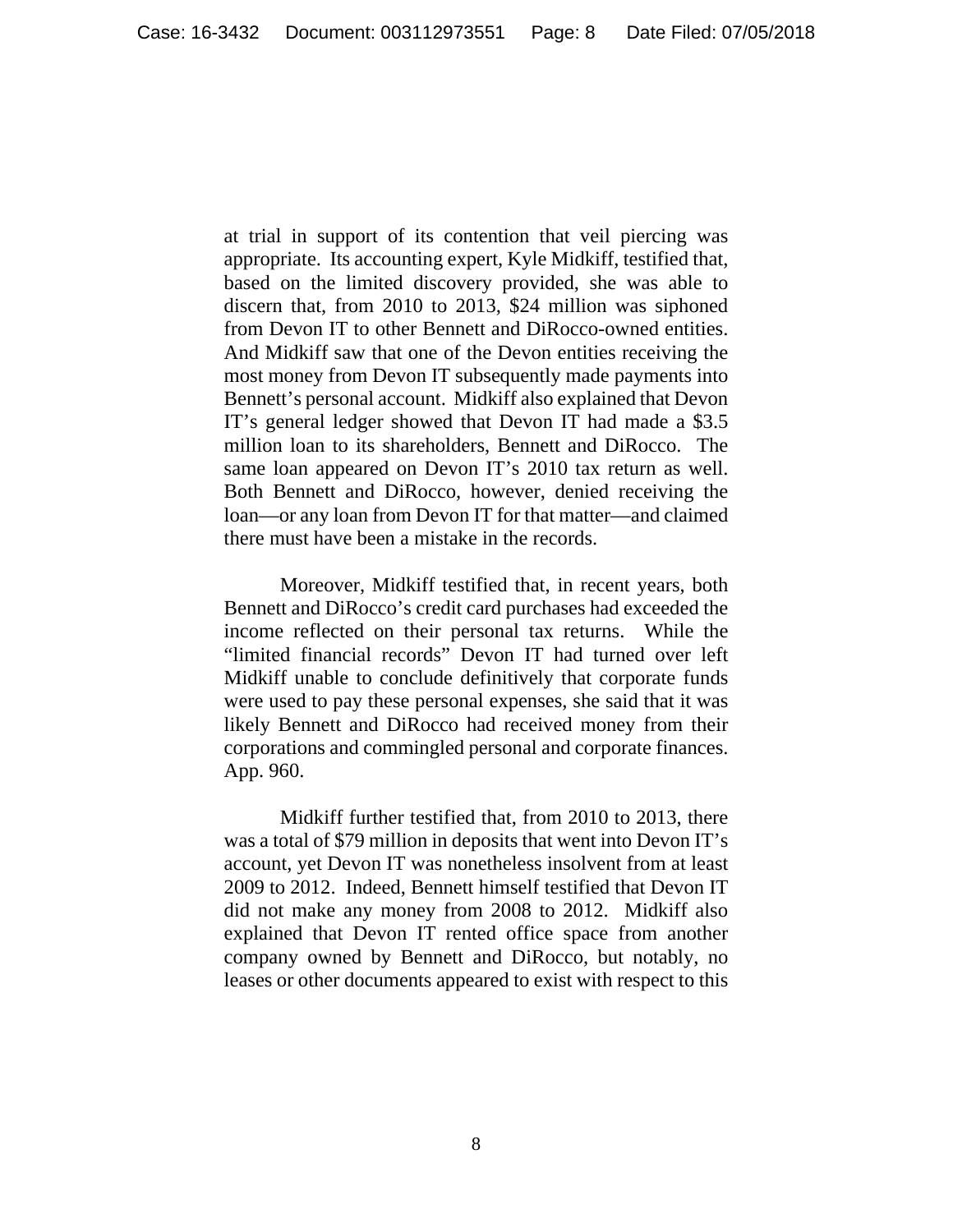at trial in support of its contention that veil piercing was appropriate. Its accounting expert, Kyle Midkiff, testified that, based on the limited discovery provided, she was able to discern that, from 2010 to 2013, \$24 million was siphoned from Devon IT to other Bennett and DiRocco-owned entities. And Midkiff saw that one of the Devon entities receiving the most money from Devon IT subsequently made payments into Bennett's personal account. Midkiff also explained that Devon IT's general ledger showed that Devon IT had made a \$3.5 million loan to its shareholders, Bennett and DiRocco. The same loan appeared on Devon IT's 2010 tax return as well. Both Bennett and DiRocco, however, denied receiving the loan—or any loan from Devon IT for that matter—and claimed there must have been a mistake in the records.

 Moreover, Midkiff testified that, in recent years, both Bennett and DiRocco's credit card purchases had exceeded the income reflected on their personal tax returns. While the "limited financial records" Devon IT had turned over left Midkiff unable to conclude definitively that corporate funds were used to pay these personal expenses, she said that it was likely Bennett and DiRocco had received money from their corporations and commingled personal and corporate finances. App. 960.

 Midkiff further testified that, from 2010 to 2013, there was a total of \$79 million in deposits that went into Devon IT's account, yet Devon IT was nonetheless insolvent from at least 2009 to 2012. Indeed, Bennett himself testified that Devon IT did not make any money from 2008 to 2012. Midkiff also explained that Devon IT rented office space from another company owned by Bennett and DiRocco, but notably, no leases or other documents appeared to exist with respect to this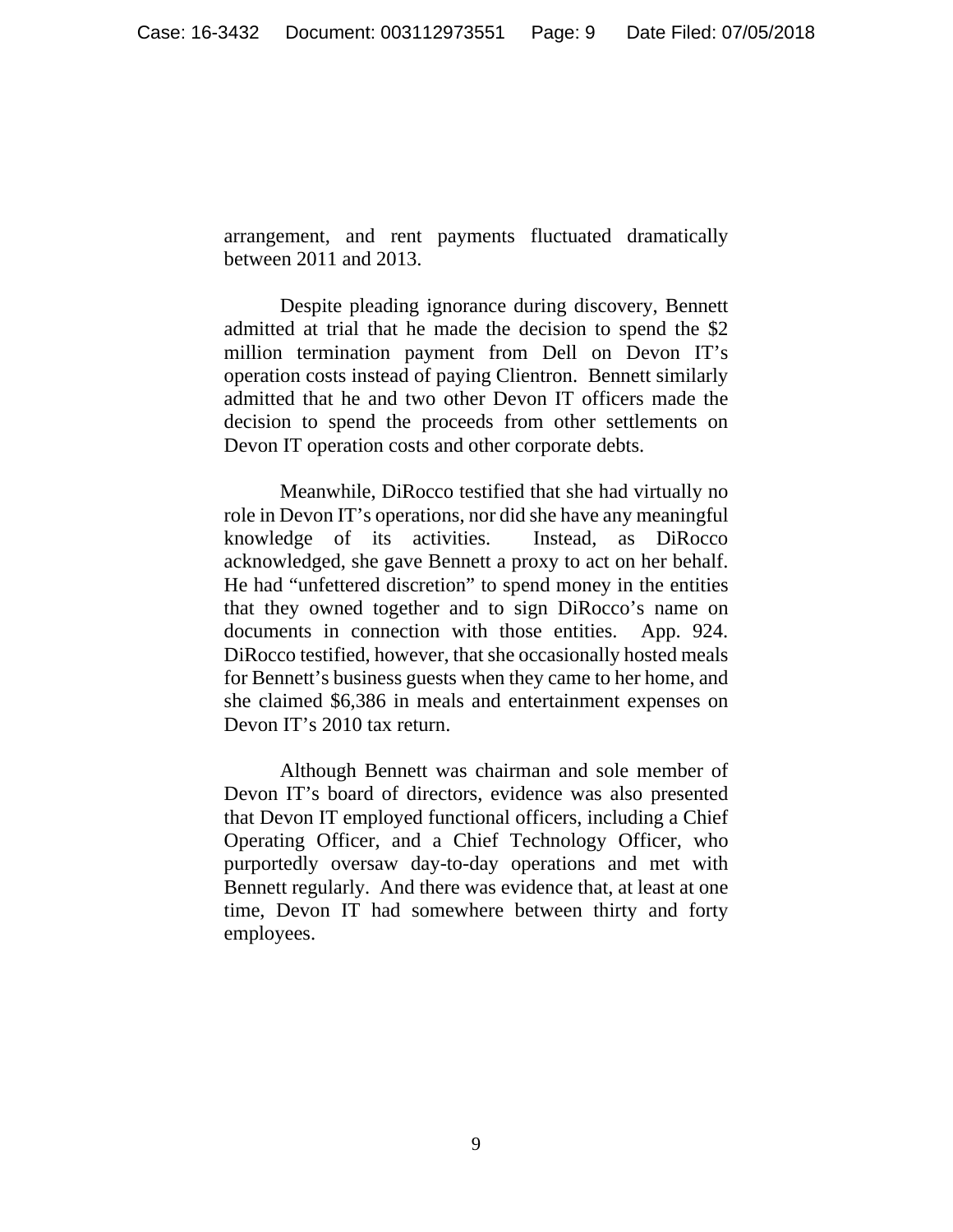arrangement, and rent payments fluctuated dramatically between 2011 and 2013.

 Despite pleading ignorance during discovery, Bennett admitted at trial that he made the decision to spend the \$2 million termination payment from Dell on Devon IT's operation costs instead of paying Clientron. Bennett similarly admitted that he and two other Devon IT officers made the decision to spend the proceeds from other settlements on Devon IT operation costs and other corporate debts.

 Meanwhile, DiRocco testified that she had virtually no role in Devon IT's operations, nor did she have any meaningful knowledge of its activities. Instead, as DiRocco acknowledged, she gave Bennett a proxy to act on her behalf. He had "unfettered discretion" to spend money in the entities that they owned together and to sign DiRocco's name on documents in connection with those entities. App. 924. DiRocco testified, however, that she occasionally hosted meals for Bennett's business guests when they came to her home, and she claimed \$6,386 in meals and entertainment expenses on Devon IT's 2010 tax return.

 Although Bennett was chairman and sole member of Devon IT's board of directors, evidence was also presented that Devon IT employed functional officers, including a Chief Operating Officer, and a Chief Technology Officer, who purportedly oversaw day-to-day operations and met with Bennett regularly. And there was evidence that, at least at one time, Devon IT had somewhere between thirty and forty employees.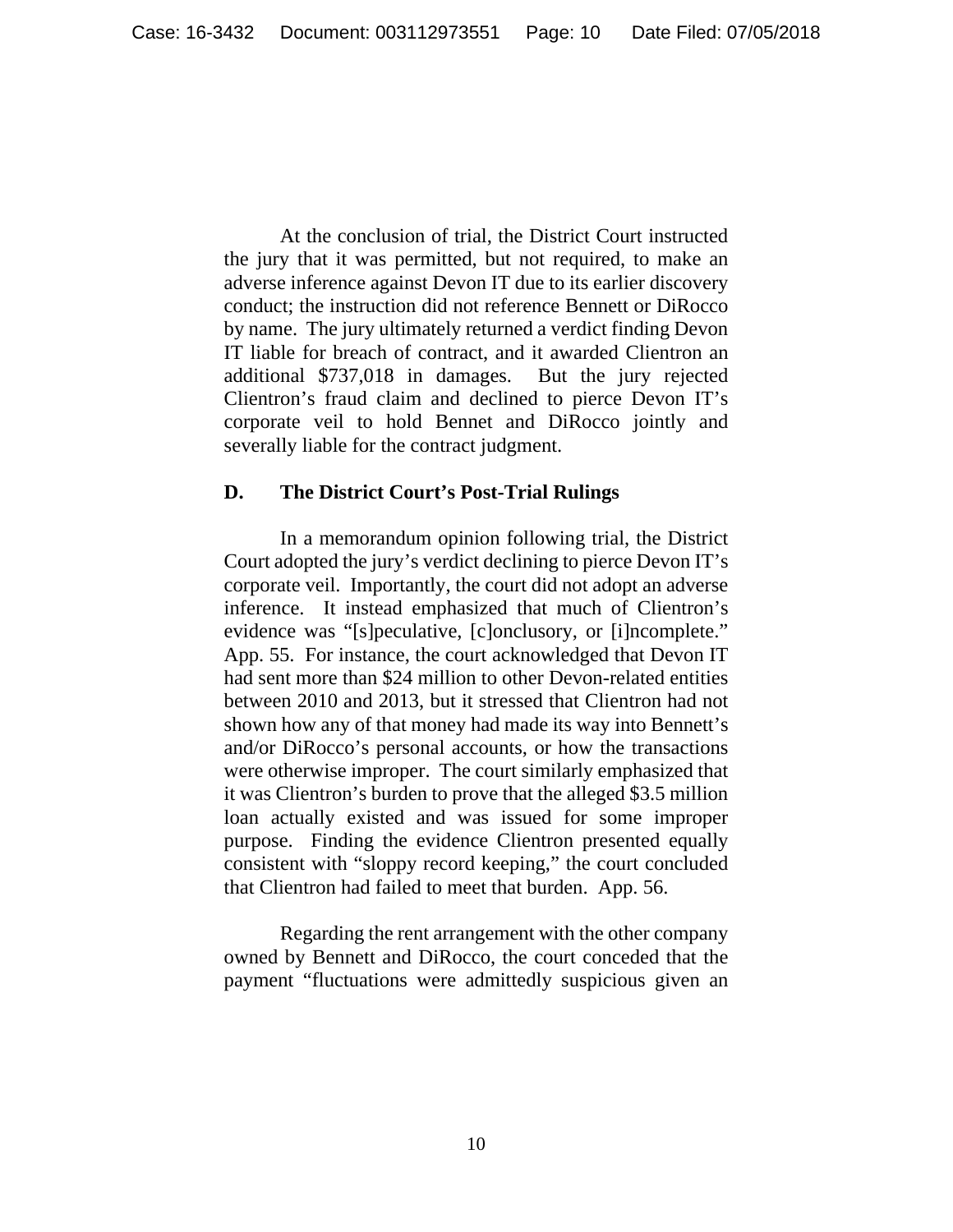At the conclusion of trial, the District Court instructed the jury that it was permitted, but not required, to make an adverse inference against Devon IT due to its earlier discovery conduct; the instruction did not reference Bennett or DiRocco by name. The jury ultimately returned a verdict finding Devon IT liable for breach of contract, and it awarded Clientron an additional \$737,018 in damages. But the jury rejected Clientron's fraud claim and declined to pierce Devon IT's corporate veil to hold Bennet and DiRocco jointly and severally liable for the contract judgment.

### **D. The District Court's Post-Trial Rulings**

 In a memorandum opinion following trial, the District Court adopted the jury's verdict declining to pierce Devon IT's corporate veil. Importantly, the court did not adopt an adverse inference. It instead emphasized that much of Clientron's evidence was "[s]peculative, [c]onclusory, or [i]ncomplete." App. 55. For instance, the court acknowledged that Devon IT had sent more than \$24 million to other Devon-related entities between 2010 and 2013, but it stressed that Clientron had not shown how any of that money had made its way into Bennett's and/or DiRocco's personal accounts, or how the transactions were otherwise improper. The court similarly emphasized that it was Clientron's burden to prove that the alleged \$3.5 million loan actually existed and was issued for some improper purpose. Finding the evidence Clientron presented equally consistent with "sloppy record keeping," the court concluded that Clientron had failed to meet that burden. App. 56.

 Regarding the rent arrangement with the other company owned by Bennett and DiRocco, the court conceded that the payment "fluctuations were admittedly suspicious given an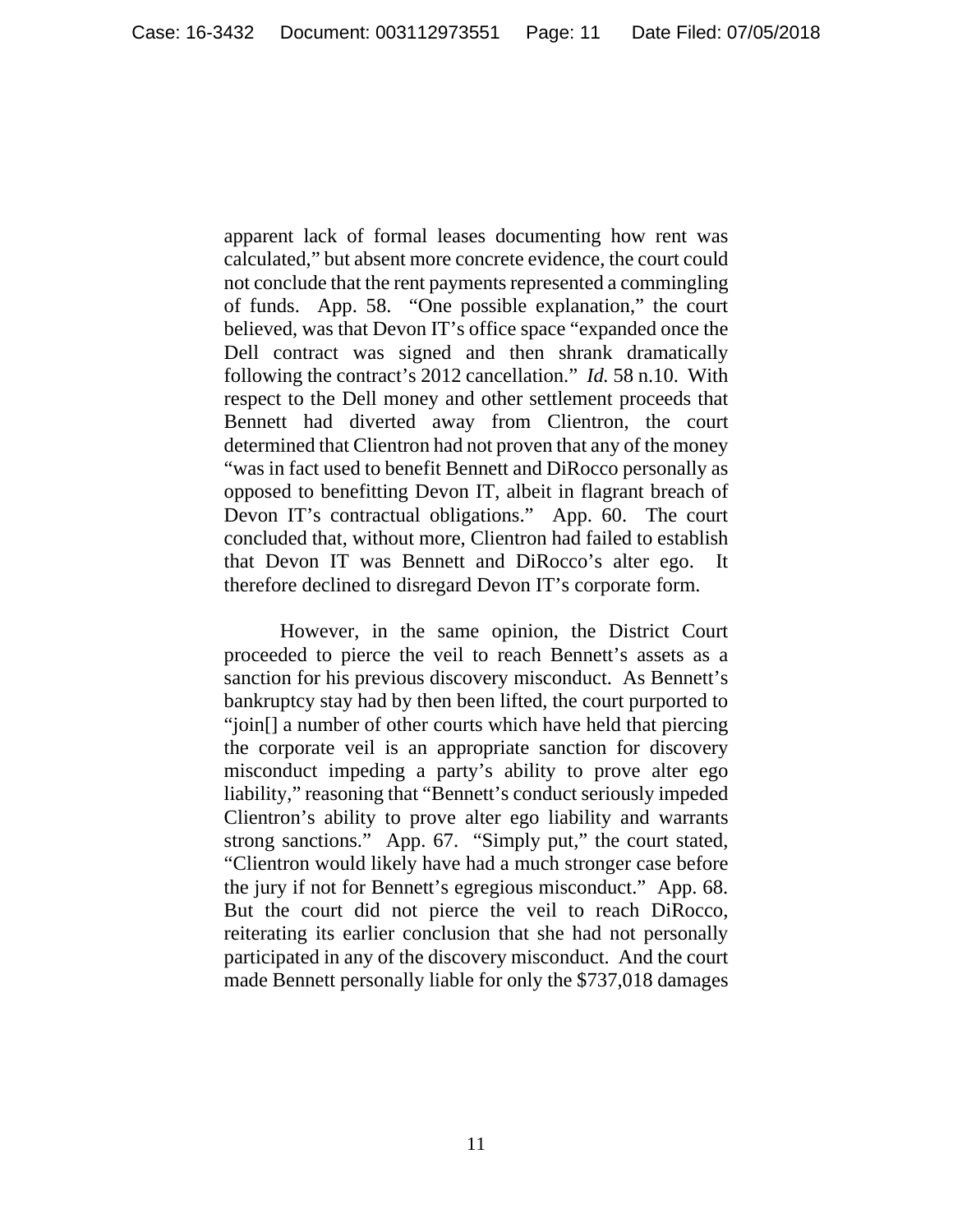apparent lack of formal leases documenting how rent was calculated," but absent more concrete evidence, the court could not conclude that the rent payments represented a commingling of funds. App. 58. "One possible explanation," the court believed, was that Devon IT's office space "expanded once the Dell contract was signed and then shrank dramatically following the contract's 2012 cancellation." *Id.* 58 n.10. With respect to the Dell money and other settlement proceeds that Bennett had diverted away from Clientron, the court determined that Clientron had not proven that any of the money "was in fact used to benefit Bennett and DiRocco personally as opposed to benefitting Devon IT, albeit in flagrant breach of Devon IT's contractual obligations." App. 60. The court concluded that, without more, Clientron had failed to establish that Devon IT was Bennett and DiRocco's alter ego. It therefore declined to disregard Devon IT's corporate form.

 However, in the same opinion, the District Court proceeded to pierce the veil to reach Bennett's assets as a sanction for his previous discovery misconduct. As Bennett's bankruptcy stay had by then been lifted, the court purported to "join[] a number of other courts which have held that piercing the corporate veil is an appropriate sanction for discovery misconduct impeding a party's ability to prove alter ego liability," reasoning that "Bennett's conduct seriously impeded Clientron's ability to prove alter ego liability and warrants strong sanctions." App. 67. "Simply put," the court stated, "Clientron would likely have had a much stronger case before the jury if not for Bennett's egregious misconduct." App. 68. But the court did not pierce the veil to reach DiRocco, reiterating its earlier conclusion that she had not personally participated in any of the discovery misconduct. And the court made Bennett personally liable for only the \$737,018 damages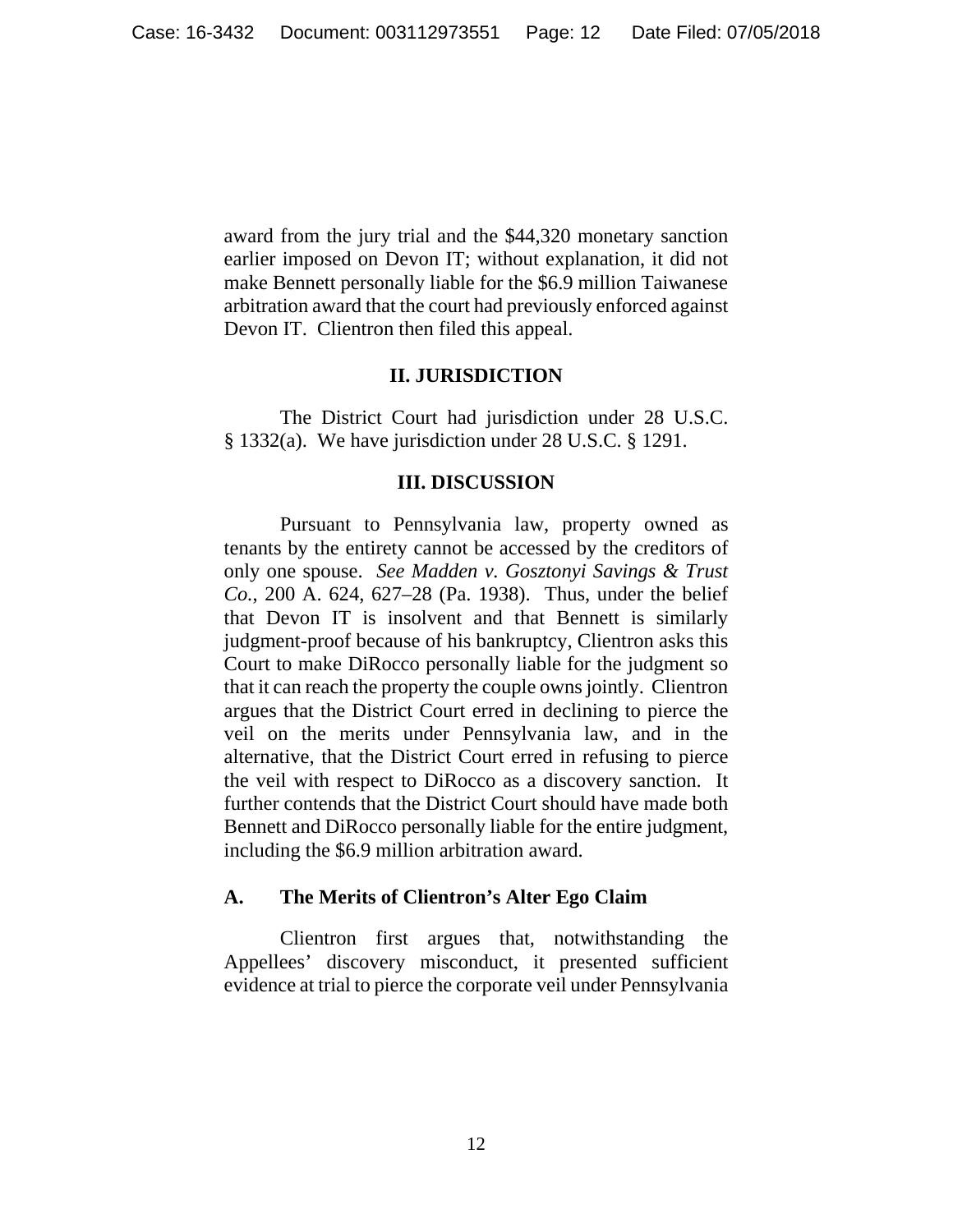award from the jury trial and the \$44,320 monetary sanction earlier imposed on Devon IT; without explanation, it did not make Bennett personally liable for the \$6.9 million Taiwanese arbitration award that the court had previously enforced against Devon IT. Clientron then filed this appeal.

## **II. JURISDICTION**

 The District Court had jurisdiction under 28 U.S.C. § 1332(a). We have jurisdiction under 28 U.S.C. § 1291.

#### **III. DISCUSSION**

 Pursuant to Pennsylvania law, property owned as tenants by the entirety cannot be accessed by the creditors of only one spouse. *See Madden v. Gosztonyi Savings & Trust Co.*, 200 A. 624, 627–28 (Pa. 1938). Thus, under the belief that Devon IT is insolvent and that Bennett is similarly judgment-proof because of his bankruptcy, Clientron asks this Court to make DiRocco personally liable for the judgment so that it can reach the property the couple owns jointly. Clientron argues that the District Court erred in declining to pierce the veil on the merits under Pennsylvania law, and in the alternative, that the District Court erred in refusing to pierce the veil with respect to DiRocco as a discovery sanction. It further contends that the District Court should have made both Bennett and DiRocco personally liable for the entire judgment, including the \$6.9 million arbitration award.

# **A. The Merits of Clientron's Alter Ego Claim**

Clientron first argues that, notwithstanding the Appellees' discovery misconduct, it presented sufficient evidence at trial to pierce the corporate veil under Pennsylvania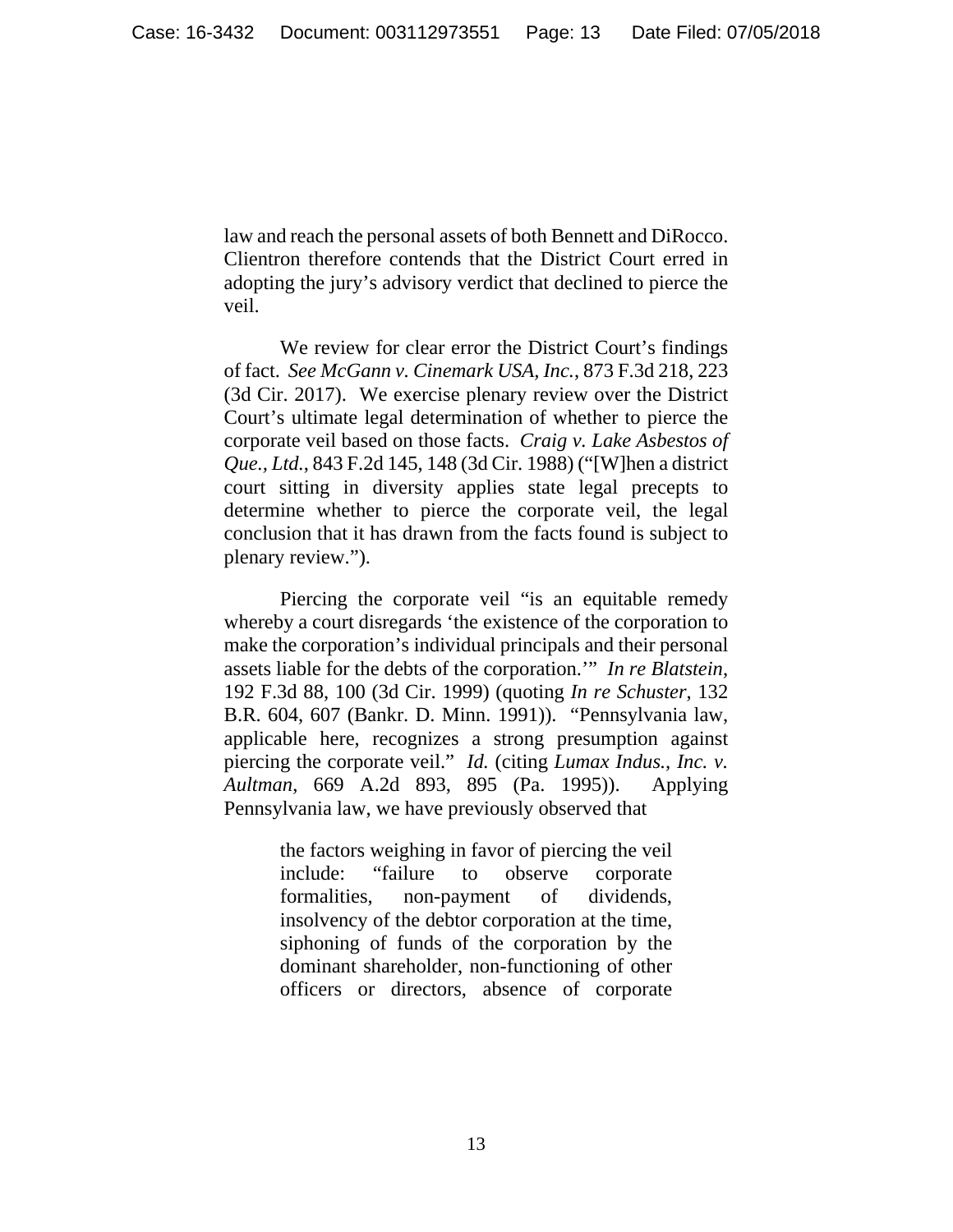law and reach the personal assets of both Bennett and DiRocco. Clientron therefore contends that the District Court erred in adopting the jury's advisory verdict that declined to pierce the veil.

 We review for clear error the District Court's findings of fact. *See McGann v. Cinemark USA, Inc.*, 873 F.3d 218, 223 (3d Cir. 2017). We exercise plenary review over the District Court's ultimate legal determination of whether to pierce the corporate veil based on those facts. *Craig v. Lake Asbestos of Que., Ltd.*, 843 F.2d 145, 148 (3d Cir. 1988) ("[W]hen a district court sitting in diversity applies state legal precepts to determine whether to pierce the corporate veil, the legal conclusion that it has drawn from the facts found is subject to plenary review.").

 Piercing the corporate veil "is an equitable remedy whereby a court disregards 'the existence of the corporation to make the corporation's individual principals and their personal assets liable for the debts of the corporation.'" *In re Blatstein*, 192 F.3d 88, 100 (3d Cir. 1999) (quoting *In re Schuster*, 132 B.R. 604, 607 (Bankr. D. Minn. 1991)). "Pennsylvania law, applicable here, recognizes a strong presumption against piercing the corporate veil." *Id.* (citing *Lumax Indus., Inc. v. Aultman*, 669 A.2d 893, 895 (Pa. 1995)). Applying Pennsylvania law, we have previously observed that

> the factors weighing in favor of piercing the veil include: "failure to observe corporate formalities, non-payment of dividends, insolvency of the debtor corporation at the time, siphoning of funds of the corporation by the dominant shareholder, non-functioning of other officers or directors, absence of corporate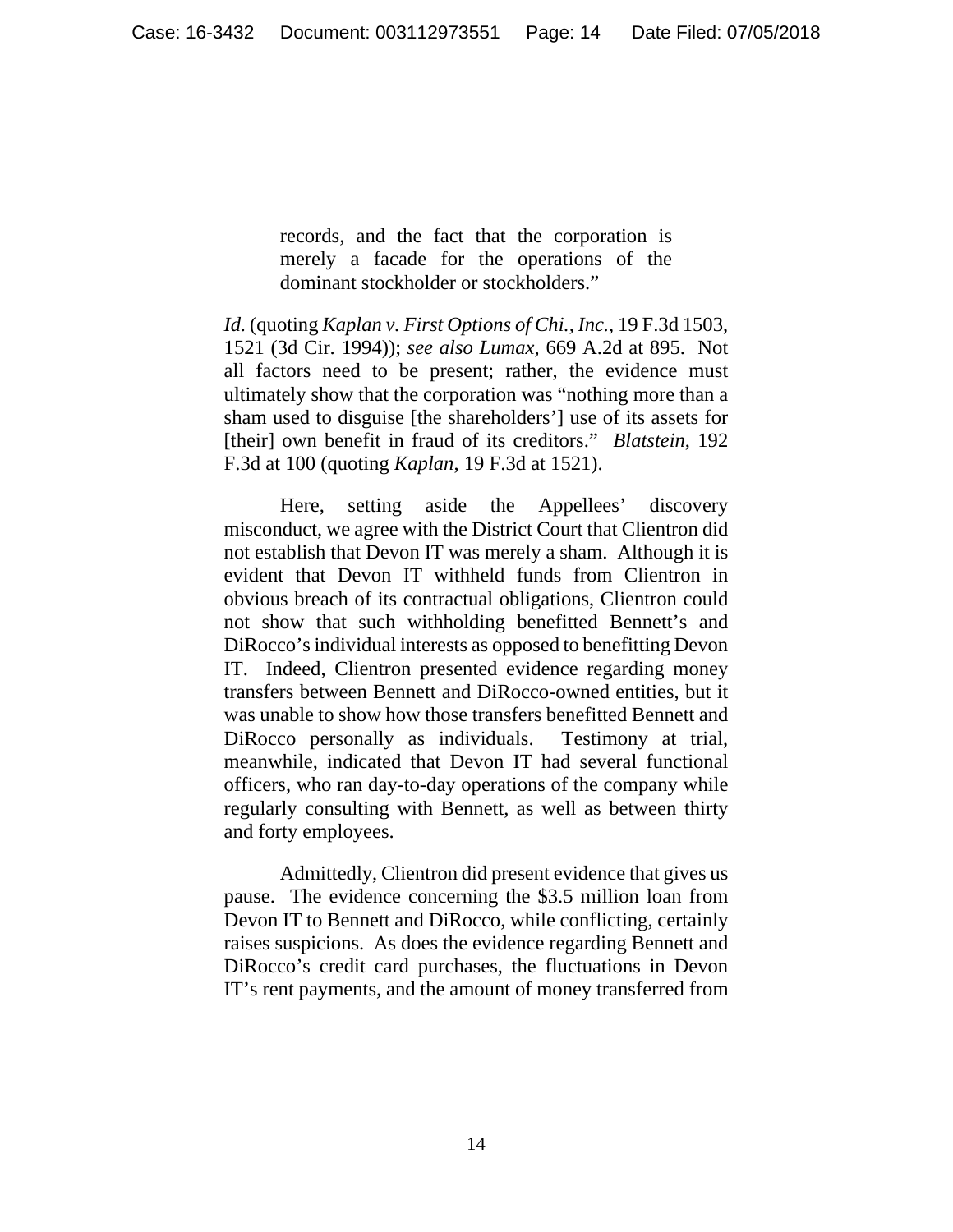records, and the fact that the corporation is merely a facade for the operations of the dominant stockholder or stockholders."

*Id.* (quoting *Kaplan v. First Options of Chi., Inc.*, 19 F.3d 1503, 1521 (3d Cir. 1994)); *see also Lumax*, 669 A.2d at 895. Not all factors need to be present; rather, the evidence must ultimately show that the corporation was "nothing more than a sham used to disguise [the shareholders'] use of its assets for [their] own benefit in fraud of its creditors." *Blatstein*, 192 F.3d at 100 (quoting *Kaplan*, 19 F.3d at 1521).

 Here, setting aside the Appellees' discovery misconduct, we agree with the District Court that Clientron did not establish that Devon IT was merely a sham. Although it is evident that Devon IT withheld funds from Clientron in obvious breach of its contractual obligations, Clientron could not show that such withholding benefitted Bennett's and DiRocco's individual interests as opposed to benefitting Devon IT. Indeed, Clientron presented evidence regarding money transfers between Bennett and DiRocco-owned entities, but it was unable to show how those transfers benefitted Bennett and DiRocco personally as individuals. Testimony at trial, meanwhile, indicated that Devon IT had several functional officers, who ran day-to-day operations of the company while regularly consulting with Bennett, as well as between thirty and forty employees.

 Admittedly, Clientron did present evidence that gives us pause. The evidence concerning the \$3.5 million loan from Devon IT to Bennett and DiRocco, while conflicting, certainly raises suspicions. As does the evidence regarding Bennett and DiRocco's credit card purchases, the fluctuations in Devon IT's rent payments, and the amount of money transferred from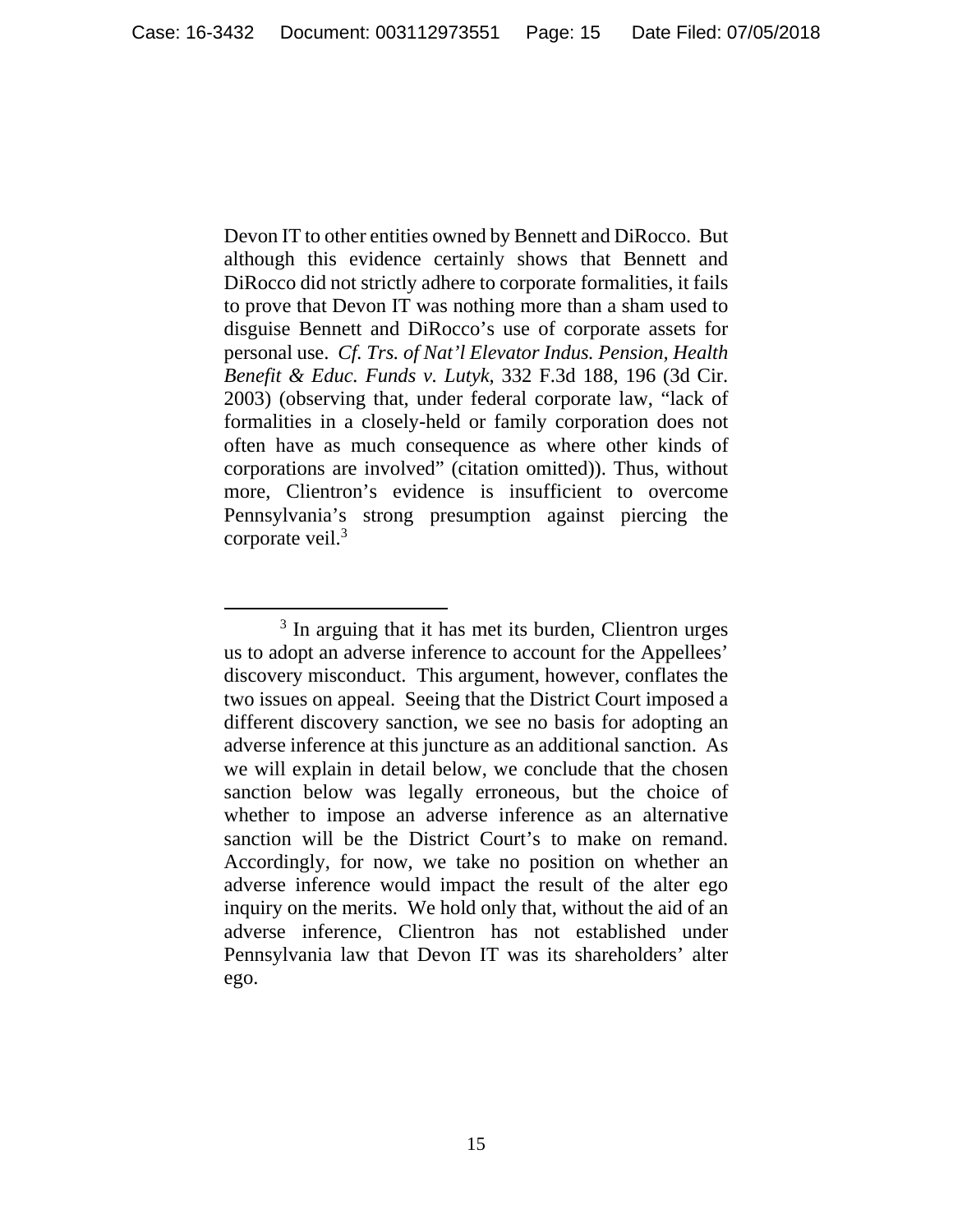Devon IT to other entities owned by Bennett and DiRocco. But although this evidence certainly shows that Bennett and DiRocco did not strictly adhere to corporate formalities, it fails to prove that Devon IT was nothing more than a sham used to disguise Bennett and DiRocco's use of corporate assets for personal use. *Cf. Trs. of Nat'l Elevator Indus. Pension, Health Benefit & Educ. Funds v. Lutyk*, 332 F.3d 188, 196 (3d Cir. 2003) (observing that, under federal corporate law, "lack of formalities in a closely-held or family corporation does not often have as much consequence as where other kinds of corporations are involved" (citation omitted)). Thus, without more, Clientron's evidence is insufficient to overcome Pennsylvania's strong presumption against piercing the corporate veil.<sup>3</sup>

 $\frac{1}{3}$  $3$  In arguing that it has met its burden, Clientron urges us to adopt an adverse inference to account for the Appellees' discovery misconduct. This argument, however, conflates the two issues on appeal. Seeing that the District Court imposed a different discovery sanction, we see no basis for adopting an adverse inference at this juncture as an additional sanction. As we will explain in detail below, we conclude that the chosen sanction below was legally erroneous, but the choice of whether to impose an adverse inference as an alternative sanction will be the District Court's to make on remand. Accordingly, for now, we take no position on whether an adverse inference would impact the result of the alter ego inquiry on the merits. We hold only that, without the aid of an adverse inference, Clientron has not established under Pennsylvania law that Devon IT was its shareholders' alter ego.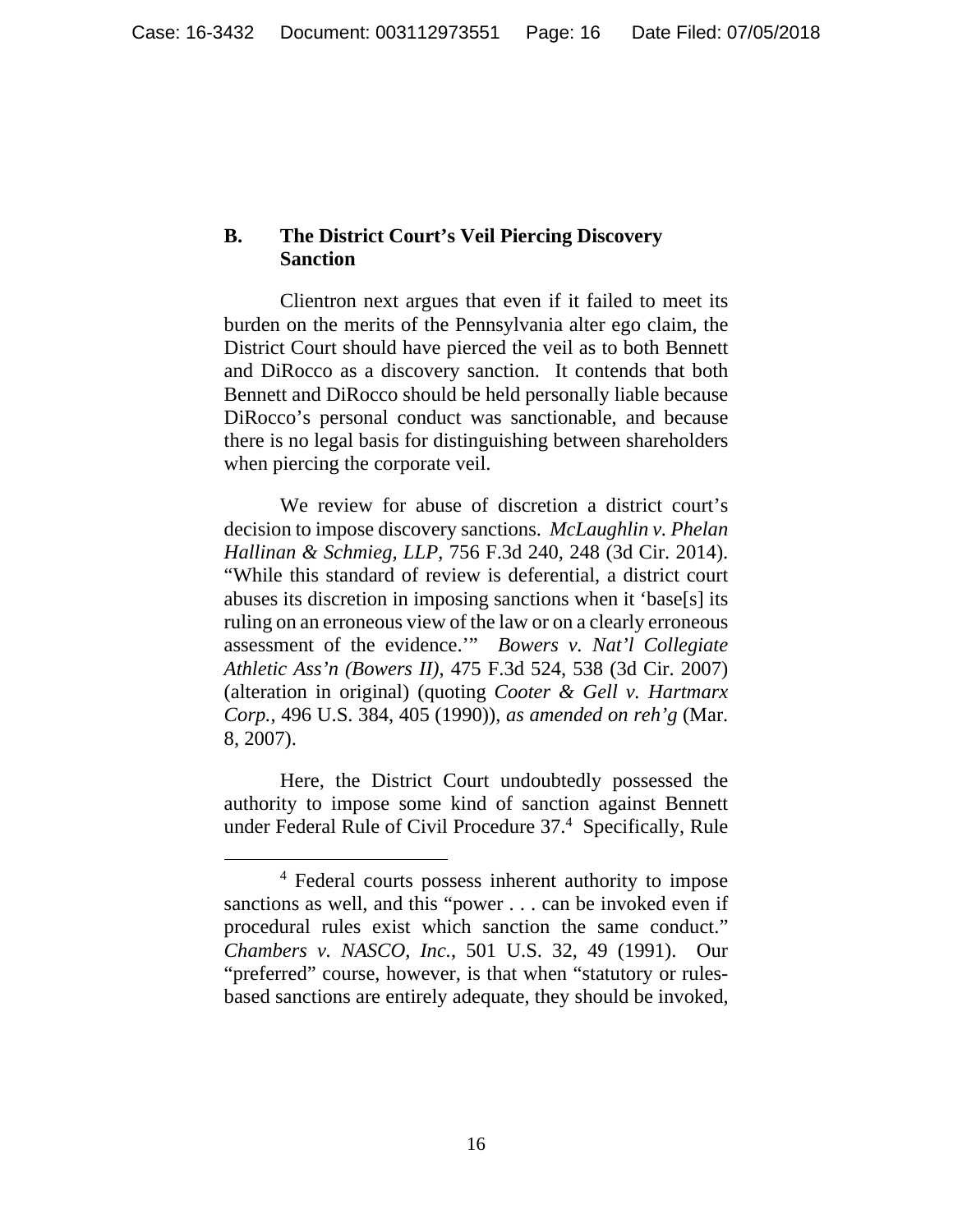## **B. The District Court's Veil Piercing Discovery Sanction**

Clientron next argues that even if it failed to meet its burden on the merits of the Pennsylvania alter ego claim, the District Court should have pierced the veil as to both Bennett and DiRocco as a discovery sanction. It contends that both Bennett and DiRocco should be held personally liable because DiRocco's personal conduct was sanctionable, and because there is no legal basis for distinguishing between shareholders when piercing the corporate veil.

We review for abuse of discretion a district court's decision to impose discovery sanctions. *McLaughlin v. Phelan Hallinan & Schmieg, LLP*, 756 F.3d 240, 248 (3d Cir. 2014). "While this standard of review is deferential, a district court abuses its discretion in imposing sanctions when it 'base[s] its ruling on an erroneous view of the law or on a clearly erroneous assessment of the evidence.'" *Bowers v. Nat'l Collegiate Athletic Ass'n (Bowers II)*, 475 F.3d 524, 538 (3d Cir. 2007) (alteration in original) (quoting *Cooter & Gell v. Hartmarx Corp.*, 496 U.S. 384, 405 (1990)), *as amended on reh'g* (Mar. 8, 2007).

Here, the District Court undoubtedly possessed the authority to impose some kind of sanction against Bennett under Federal Rule of Civil Procedure 37.4 Specifically, Rule

 $\overline{4}$  Federal courts possess inherent authority to impose sanctions as well, and this "power . . . can be invoked even if procedural rules exist which sanction the same conduct." *Chambers v. NASCO, Inc.*, 501 U.S. 32, 49 (1991). Our "preferred" course, however, is that when "statutory or rulesbased sanctions are entirely adequate, they should be invoked,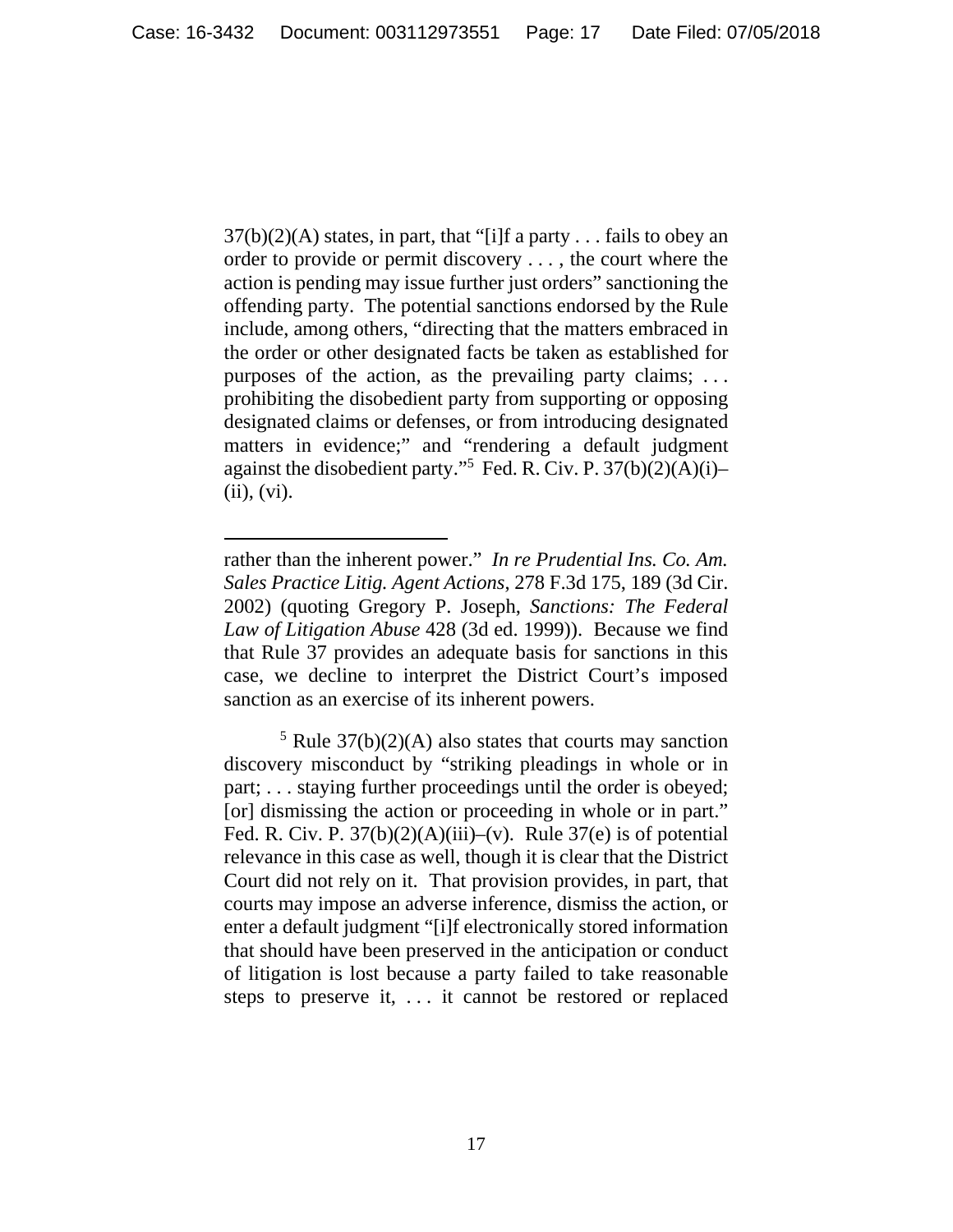$37(b)(2)(A)$  states, in part, that "[i]f a party . . . fails to obey an order to provide or permit discovery . . . , the court where the action is pending may issue further just orders" sanctioning the offending party. The potential sanctions endorsed by the Rule include, among others, "directing that the matters embraced in the order or other designated facts be taken as established for purposes of the action, as the prevailing party claims; . . . prohibiting the disobedient party from supporting or opposing designated claims or defenses, or from introducing designated matters in evidence;" and "rendering a default judgment against the disobedient party."5 Fed. R. Civ. P. 37(b)(2)(A)(i)– (ii), (vi).

 $\overline{a}$ 

 $5$  Rule 37(b)(2)(A) also states that courts may sanction discovery misconduct by "striking pleadings in whole or in part; . . . staying further proceedings until the order is obeyed; [or] dismissing the action or proceeding in whole or in part." Fed. R. Civ. P.  $37(b)(2)(A)(iii)-(v)$ . Rule  $37(e)$  is of potential relevance in this case as well, though it is clear that the District Court did not rely on it. That provision provides, in part, that courts may impose an adverse inference, dismiss the action, or enter a default judgment "[i]f electronically stored information that should have been preserved in the anticipation or conduct of litigation is lost because a party failed to take reasonable steps to preserve it, . . . it cannot be restored or replaced

rather than the inherent power." *In re Prudential Ins. Co. Am. Sales Practice Litig. Agent Actions*, 278 F.3d 175, 189 (3d Cir. 2002) (quoting Gregory P. Joseph, *Sanctions: The Federal Law of Litigation Abuse* 428 (3d ed. 1999)). Because we find that Rule 37 provides an adequate basis for sanctions in this case, we decline to interpret the District Court's imposed sanction as an exercise of its inherent powers.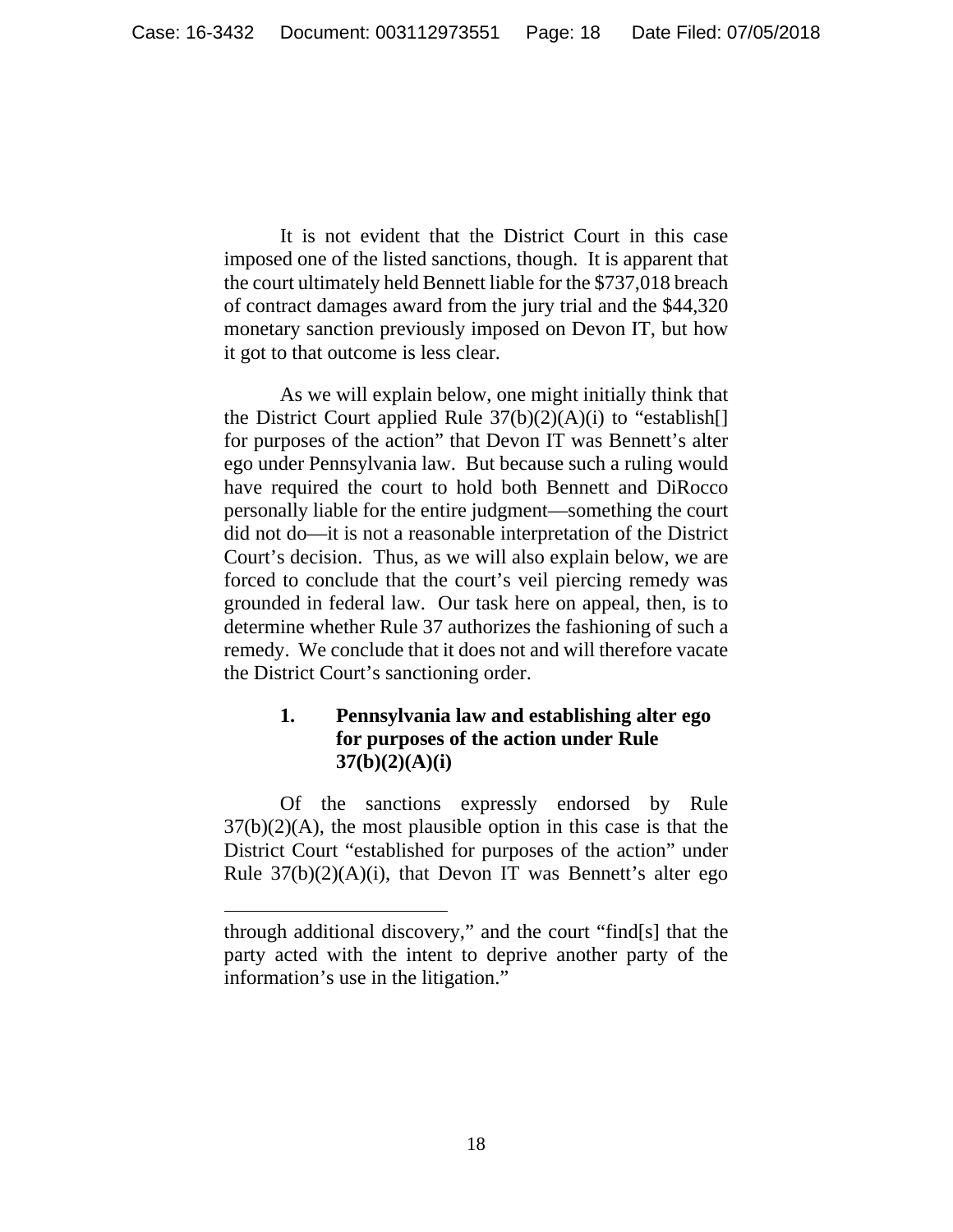It is not evident that the District Court in this case imposed one of the listed sanctions, though. It is apparent that the court ultimately held Bennett liable for the \$737,018 breach of contract damages award from the jury trial and the \$44,320 monetary sanction previously imposed on Devon IT, but how it got to that outcome is less clear.

 As we will explain below, one might initially think that the District Court applied Rule  $37(b)(2)(A)(i)$  to "establish[] for purposes of the action" that Devon IT was Bennett's alter ego under Pennsylvania law. But because such a ruling would have required the court to hold both Bennett and DiRocco personally liable for the entire judgment—something the court did not do—it is not a reasonable interpretation of the District Court's decision. Thus, as we will also explain below, we are forced to conclude that the court's veil piercing remedy was grounded in federal law. Our task here on appeal, then, is to determine whether Rule 37 authorizes the fashioning of such a remedy. We conclude that it does not and will therefore vacate the District Court's sanctioning order.

# **1. Pennsylvania law and establishing alter ego for purposes of the action under Rule 37(b)(2)(A)(i)**

 Of the sanctions expressly endorsed by Rule  $37(b)(2)(A)$ , the most plausible option in this case is that the District Court "established for purposes of the action" under Rule  $37(b)(2)(A)(i)$ , that Devon IT was Bennett's alter ego

 $\overline{a}$ 

through additional discovery," and the court "find[s] that the party acted with the intent to deprive another party of the information's use in the litigation."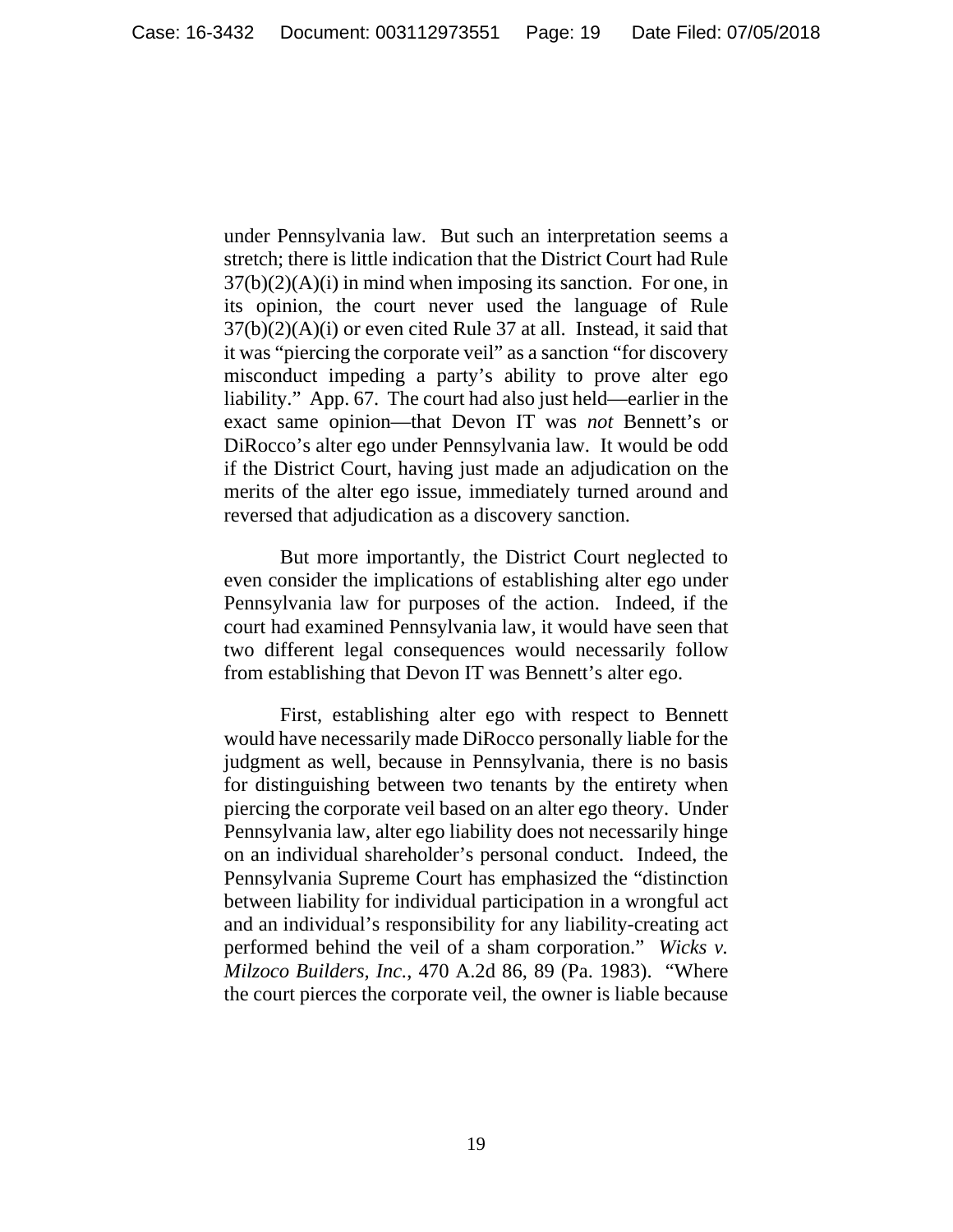under Pennsylvania law. But such an interpretation seems a stretch; there is little indication that the District Court had Rule  $37(b)(2)(A)(i)$  in mind when imposing its sanction. For one, in its opinion, the court never used the language of Rule 37(b)(2)(A)(i) or even cited Rule 37 at all. Instead, it said that it was "piercing the corporate veil" as a sanction "for discovery misconduct impeding a party's ability to prove alter ego liability." App. 67. The court had also just held—earlier in the exact same opinion—that Devon IT was *not* Bennett's or DiRocco's alter ego under Pennsylvania law. It would be odd if the District Court, having just made an adjudication on the merits of the alter ego issue, immediately turned around and reversed that adjudication as a discovery sanction.

 But more importantly, the District Court neglected to even consider the implications of establishing alter ego under Pennsylvania law for purposes of the action. Indeed, if the court had examined Pennsylvania law, it would have seen that two different legal consequences would necessarily follow from establishing that Devon IT was Bennett's alter ego.

 First, establishing alter ego with respect to Bennett would have necessarily made DiRocco personally liable for the judgment as well, because in Pennsylvania, there is no basis for distinguishing between two tenants by the entirety when piercing the corporate veil based on an alter ego theory. Under Pennsylvania law, alter ego liability does not necessarily hinge on an individual shareholder's personal conduct. Indeed, the Pennsylvania Supreme Court has emphasized the "distinction between liability for individual participation in a wrongful act and an individual's responsibility for any liability-creating act performed behind the veil of a sham corporation." *Wicks v. Milzoco Builders, Inc.*, 470 A.2d 86, 89 (Pa. 1983). "Where the court pierces the corporate veil, the owner is liable because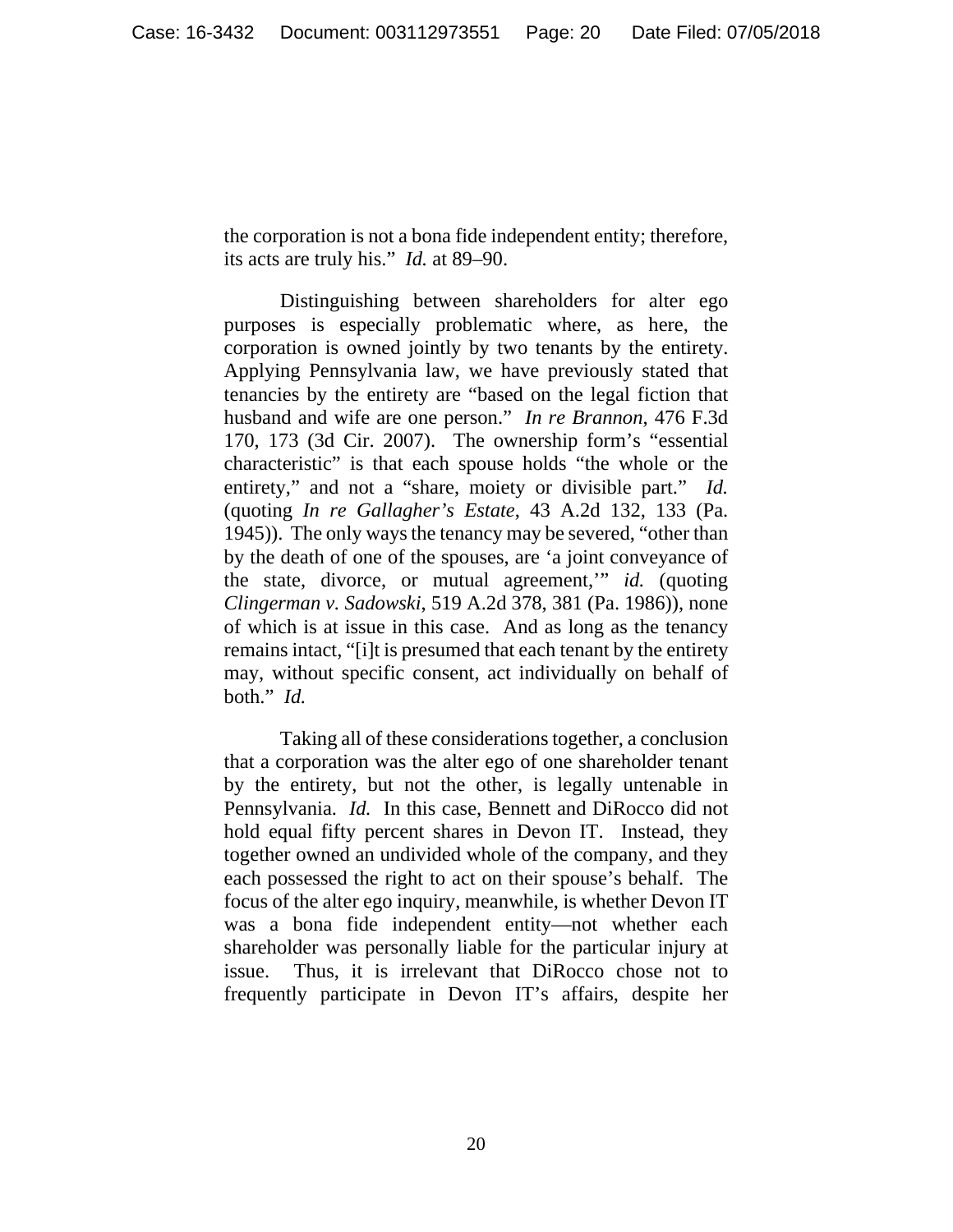the corporation is not a bona fide independent entity; therefore, its acts are truly his." *Id.* at 89–90.

 Distinguishing between shareholders for alter ego purposes is especially problematic where, as here, the corporation is owned jointly by two tenants by the entirety. Applying Pennsylvania law, we have previously stated that tenancies by the entirety are "based on the legal fiction that husband and wife are one person." *In re Brannon*, 476 F.3d 170, 173 (3d Cir. 2007). The ownership form's "essential characteristic" is that each spouse holds "the whole or the entirety," and not a "share, moiety or divisible part." *Id.* (quoting *In re Gallagher's Estate*, 43 A.2d 132, 133 (Pa. 1945)). The only ways the tenancy may be severed, "other than by the death of one of the spouses, are 'a joint conveyance of the state, divorce, or mutual agreement,'" *id.* (quoting *Clingerman v. Sadowski*, 519 A.2d 378, 381 (Pa. 1986)), none of which is at issue in this case. And as long as the tenancy remains intact, "[i]t is presumed that each tenant by the entirety may, without specific consent, act individually on behalf of both." *Id.*

 Taking all of these considerations together, a conclusion that a corporation was the alter ego of one shareholder tenant by the entirety, but not the other, is legally untenable in Pennsylvania. *Id.* In this case, Bennett and DiRocco did not hold equal fifty percent shares in Devon IT. Instead, they together owned an undivided whole of the company, and they each possessed the right to act on their spouse's behalf. The focus of the alter ego inquiry, meanwhile, is whether Devon IT was a bona fide independent entity—not whether each shareholder was personally liable for the particular injury at issue. Thus, it is irrelevant that DiRocco chose not to frequently participate in Devon IT's affairs, despite her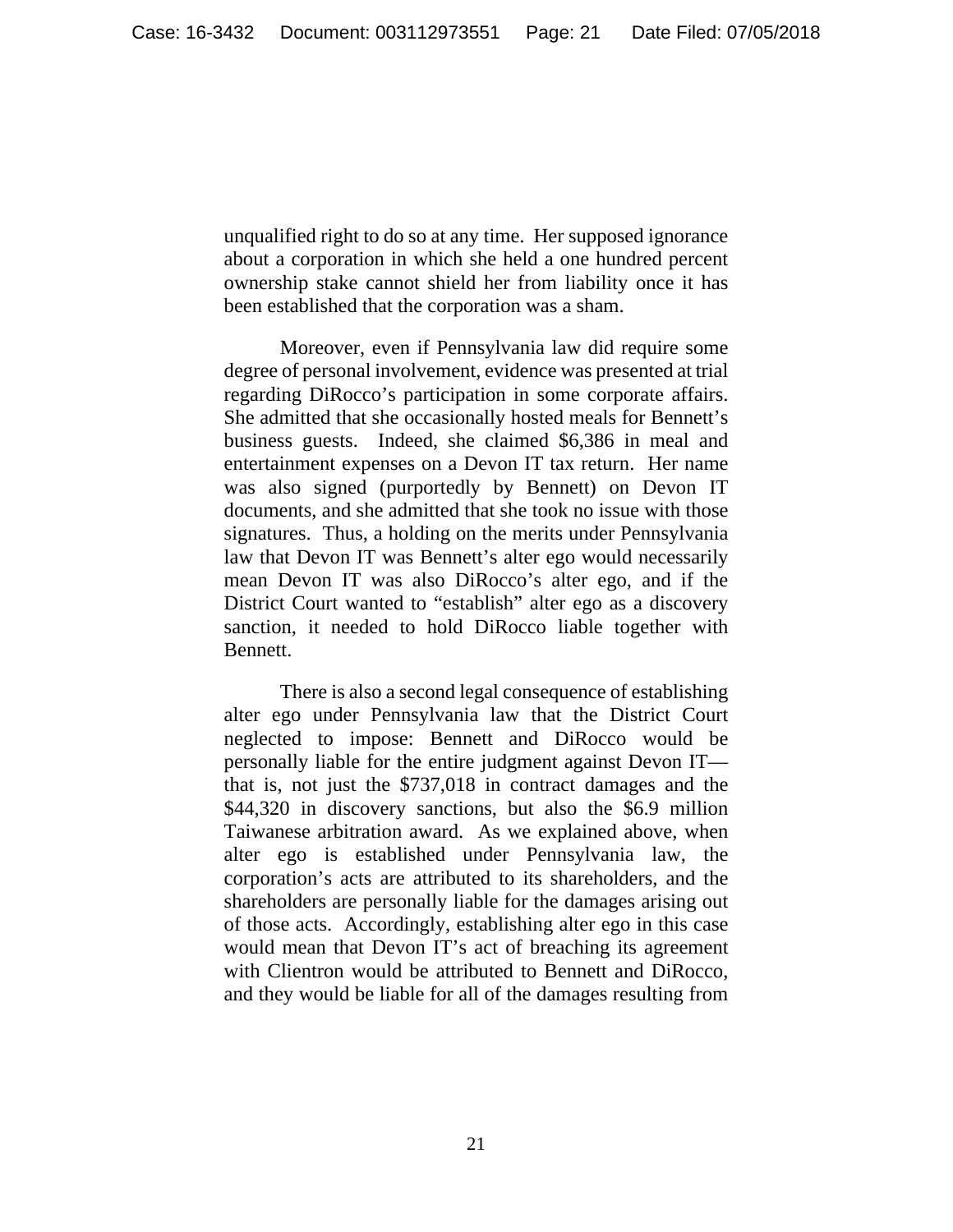unqualified right to do so at any time. Her supposed ignorance about a corporation in which she held a one hundred percent ownership stake cannot shield her from liability once it has been established that the corporation was a sham.

 Moreover, even if Pennsylvania law did require some degree of personal involvement, evidence was presented at trial regarding DiRocco's participation in some corporate affairs. She admitted that she occasionally hosted meals for Bennett's business guests. Indeed, she claimed \$6,386 in meal and entertainment expenses on a Devon IT tax return. Her name was also signed (purportedly by Bennett) on Devon IT documents, and she admitted that she took no issue with those signatures. Thus, a holding on the merits under Pennsylvania law that Devon IT was Bennett's alter ego would necessarily mean Devon IT was also DiRocco's alter ego, and if the District Court wanted to "establish" alter ego as a discovery sanction, it needed to hold DiRocco liable together with Bennett.

 There is also a second legal consequence of establishing alter ego under Pennsylvania law that the District Court neglected to impose: Bennett and DiRocco would be personally liable for the entire judgment against Devon IT that is, not just the \$737,018 in contract damages and the \$44,320 in discovery sanctions, but also the \$6.9 million Taiwanese arbitration award. As we explained above, when alter ego is established under Pennsylvania law, the corporation's acts are attributed to its shareholders, and the shareholders are personally liable for the damages arising out of those acts. Accordingly, establishing alter ego in this case would mean that Devon IT's act of breaching its agreement with Clientron would be attributed to Bennett and DiRocco, and they would be liable for all of the damages resulting from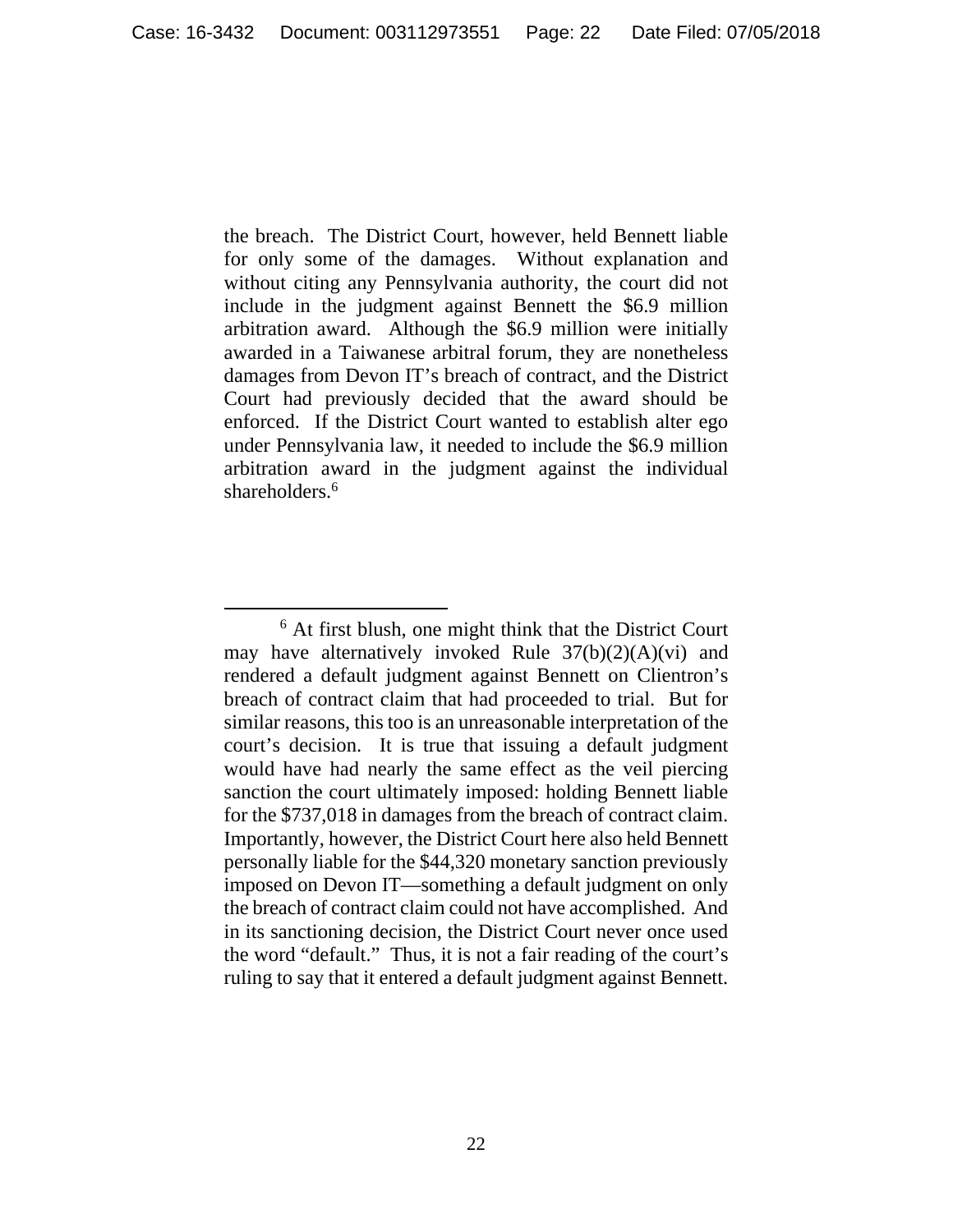the breach. The District Court, however, held Bennett liable for only some of the damages. Without explanation and without citing any Pennsylvania authority, the court did not include in the judgment against Bennett the \$6.9 million arbitration award. Although the \$6.9 million were initially awarded in a Taiwanese arbitral forum, they are nonetheless damages from Devon IT's breach of contract, and the District Court had previously decided that the award should be enforced. If the District Court wanted to establish alter ego under Pennsylvania law, it needed to include the \$6.9 million arbitration award in the judgment against the individual shareholders.<sup>6</sup>

 <sup>6</sup>  $6$  At first blush, one might think that the District Court may have alternatively invoked Rule 37(b)(2)(A)(vi) and rendered a default judgment against Bennett on Clientron's breach of contract claim that had proceeded to trial. But for similar reasons, this too is an unreasonable interpretation of the court's decision. It is true that issuing a default judgment would have had nearly the same effect as the veil piercing sanction the court ultimately imposed: holding Bennett liable for the \$737,018 in damages from the breach of contract claim. Importantly, however, the District Court here also held Bennett personally liable for the \$44,320 monetary sanction previously imposed on Devon IT—something a default judgment on only the breach of contract claim could not have accomplished. And in its sanctioning decision, the District Court never once used the word "default." Thus, it is not a fair reading of the court's ruling to say that it entered a default judgment against Bennett.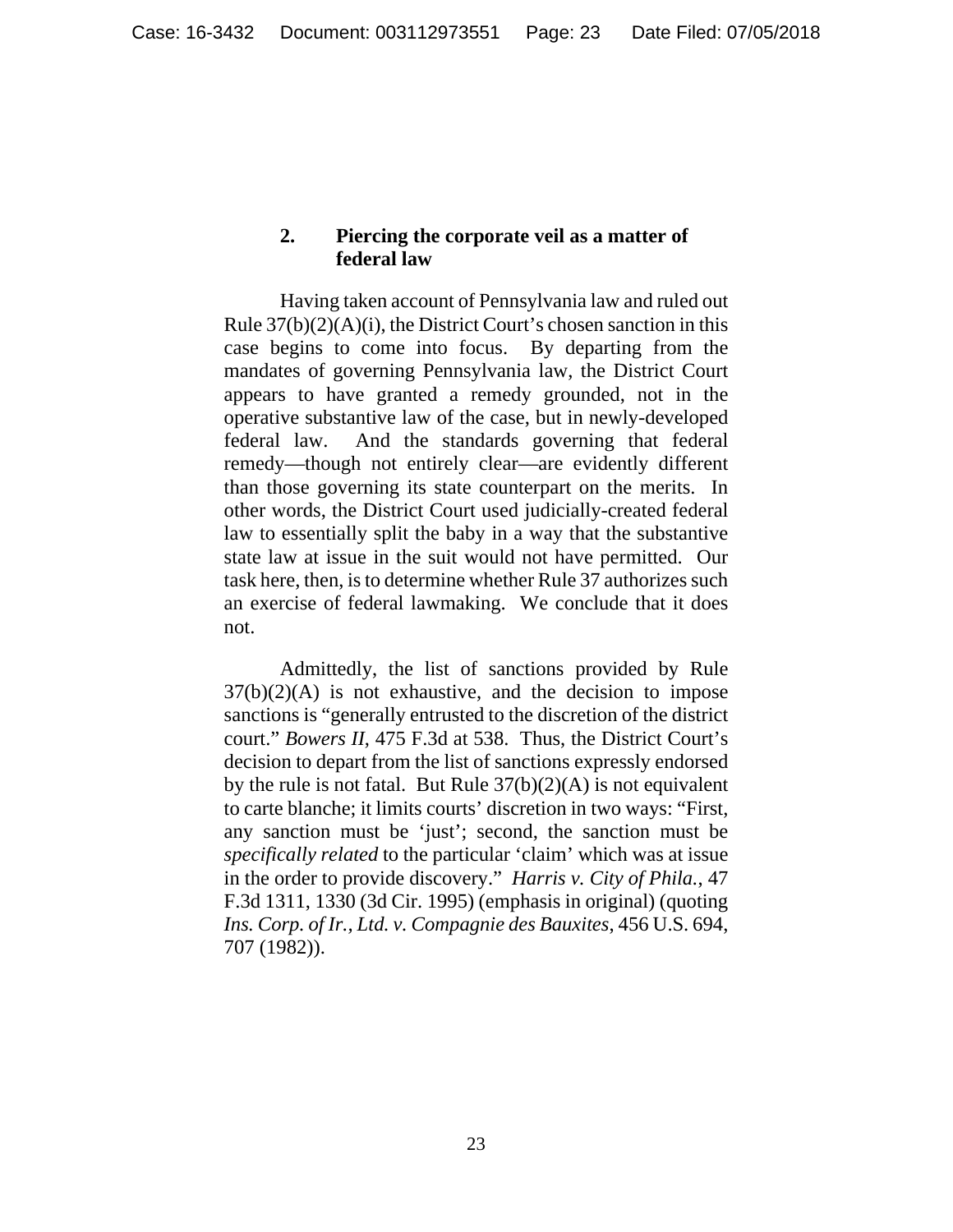### **2. Piercing the corporate veil as a matter of federal law**

Having taken account of Pennsylvania law and ruled out Rule  $37(b)(2)(A)(i)$ , the District Court's chosen sanction in this case begins to come into focus. By departing from the mandates of governing Pennsylvania law, the District Court appears to have granted a remedy grounded, not in the operative substantive law of the case, but in newly-developed federal law. And the standards governing that federal remedy—though not entirely clear—are evidently different than those governing its state counterpart on the merits. In other words, the District Court used judicially-created federal law to essentially split the baby in a way that the substantive state law at issue in the suit would not have permitted. Our task here, then, is to determine whether Rule 37 authorizes such an exercise of federal lawmaking. We conclude that it does not.

 Admittedly, the list of sanctions provided by Rule  $37(b)(2)(A)$  is not exhaustive, and the decision to impose sanctions is "generally entrusted to the discretion of the district court." *Bowers II*, 475 F.3d at 538. Thus, the District Court's decision to depart from the list of sanctions expressly endorsed by the rule is not fatal. But Rule  $37(b)(2)(A)$  is not equivalent to carte blanche; it limits courts' discretion in two ways: "First, any sanction must be 'just'; second, the sanction must be *specifically related* to the particular 'claim' which was at issue in the order to provide discovery." *Harris v. City of Phila.*, 47 F.3d 1311, 1330 (3d Cir. 1995) (emphasis in original) (quoting *Ins. Corp. of Ir., Ltd. v. Compagnie des Bauxites*, 456 U.S. 694, 707 (1982)).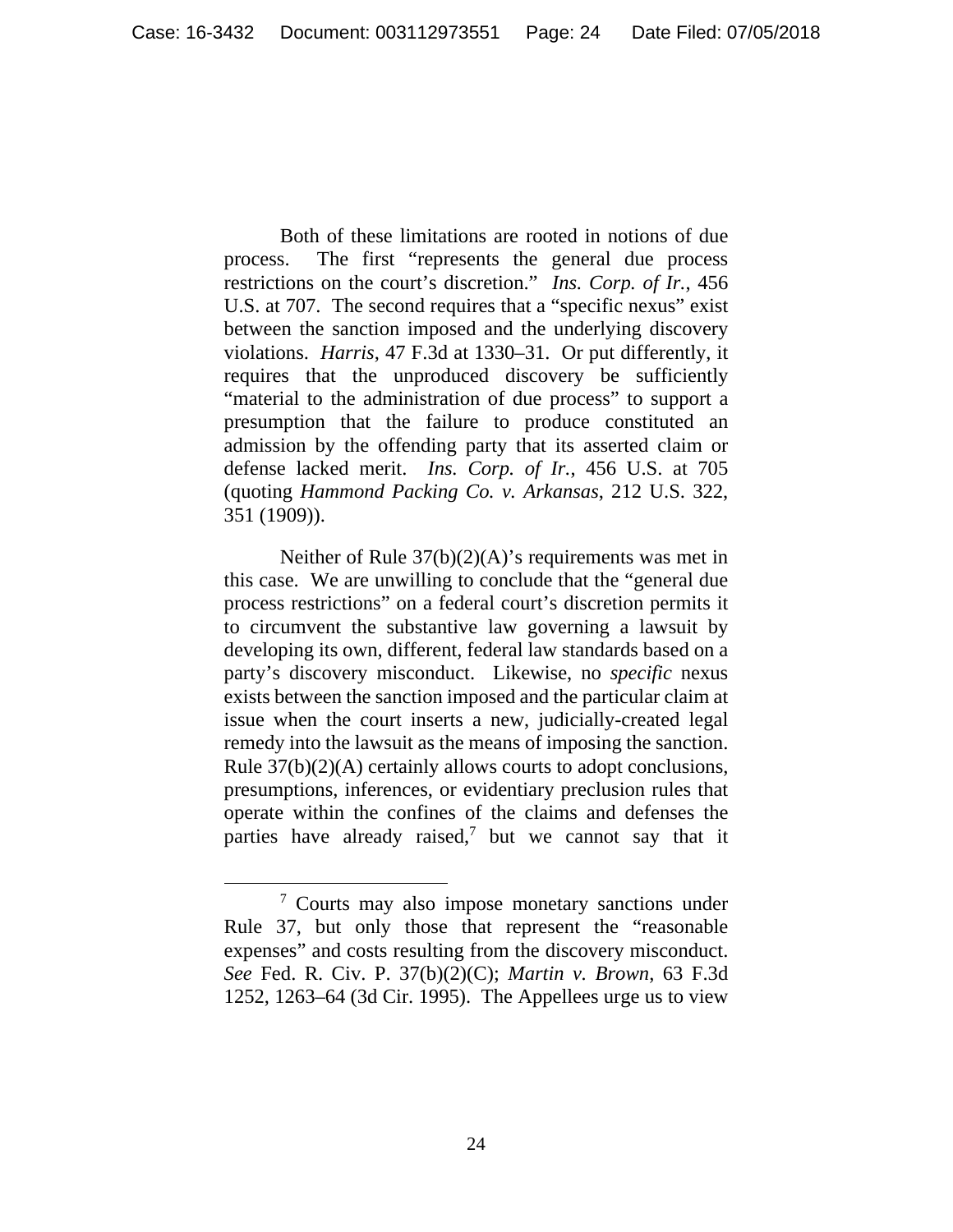Both of these limitations are rooted in notions of due process. The first "represents the general due process restrictions on the court's discretion." *Ins. Corp. of Ir.*, 456 U.S. at 707. The second requires that a "specific nexus" exist between the sanction imposed and the underlying discovery violations. *Harris*, 47 F.3d at 1330–31. Or put differently, it requires that the unproduced discovery be sufficiently "material to the administration of due process" to support a presumption that the failure to produce constituted an admission by the offending party that its asserted claim or defense lacked merit. *Ins. Corp. of Ir.*, 456 U.S. at 705 (quoting *Hammond Packing Co. v. Arkansas*, 212 U.S. 322, 351 (1909)).

Neither of Rule  $37(b)(2)(A)$ 's requirements was met in this case. We are unwilling to conclude that the "general due process restrictions" on a federal court's discretion permits it to circumvent the substantive law governing a lawsuit by developing its own, different, federal law standards based on a party's discovery misconduct. Likewise, no *specific* nexus exists between the sanction imposed and the particular claim at issue when the court inserts a new, judicially-created legal remedy into the lawsuit as the means of imposing the sanction. Rule 37(b)(2)(A) certainly allows courts to adopt conclusions, presumptions, inferences, or evidentiary preclusion rules that operate within the confines of the claims and defenses the parties have already raised,<sup>7</sup> but we cannot say that it

 <sup>7</sup> <sup>7</sup> Courts may also impose monetary sanctions under Rule 37, but only those that represent the "reasonable expenses" and costs resulting from the discovery misconduct. *See* Fed. R. Civ. P. 37(b)(2)(C); *Martin v. Brown*, 63 F.3d 1252, 1263–64 (3d Cir. 1995). The Appellees urge us to view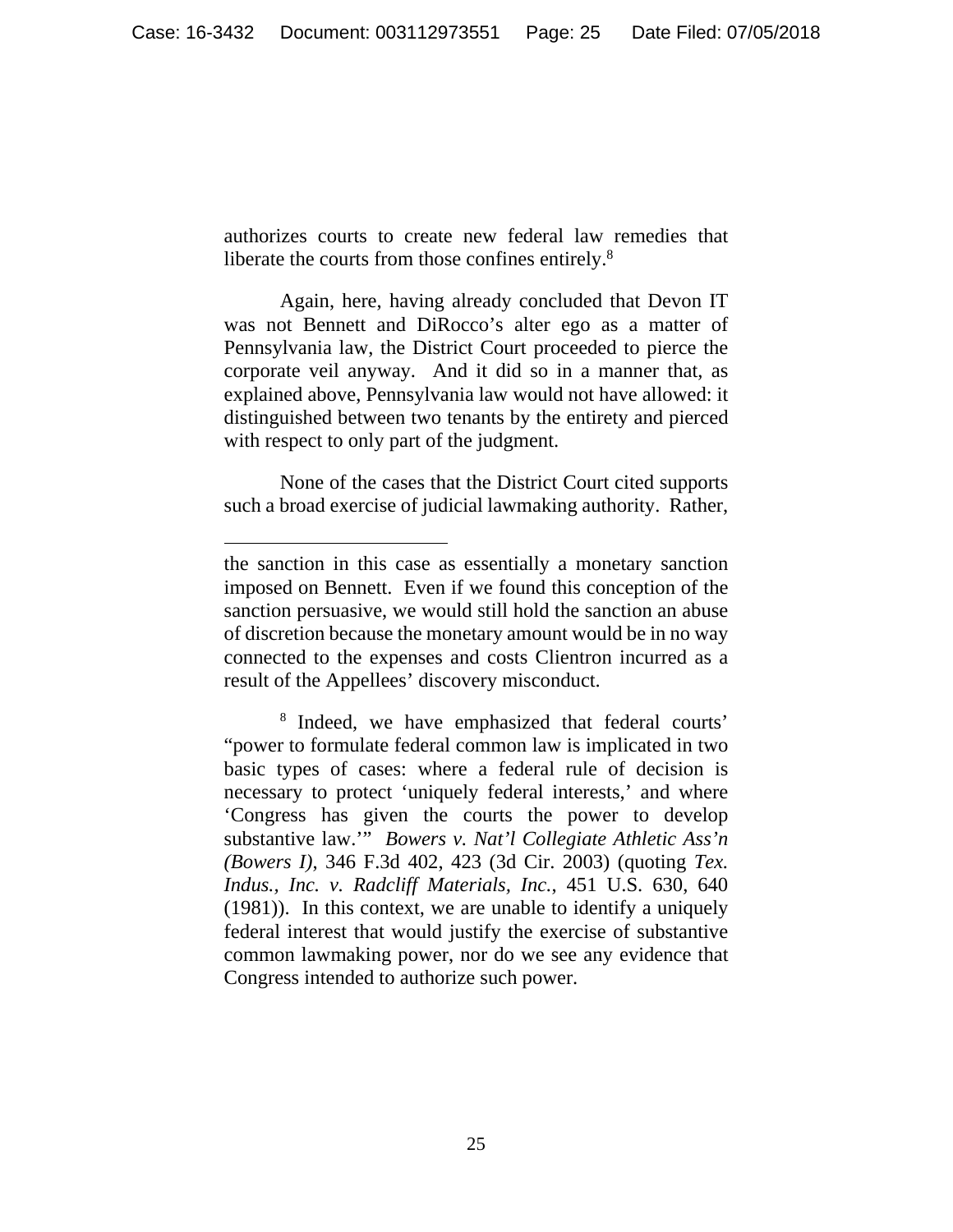authorizes courts to create new federal law remedies that liberate the courts from those confines entirely.<sup>8</sup>

 Again, here, having already concluded that Devon IT was not Bennett and DiRocco's alter ego as a matter of Pennsylvania law, the District Court proceeded to pierce the corporate veil anyway. And it did so in a manner that, as explained above, Pennsylvania law would not have allowed: it distinguished between two tenants by the entirety and pierced with respect to only part of the judgment.

 None of the cases that the District Court cited supports such a broad exercise of judicial lawmaking authority. Rather,

 $\overline{a}$ 

the sanction in this case as essentially a monetary sanction imposed on Bennett. Even if we found this conception of the sanction persuasive, we would still hold the sanction an abuse of discretion because the monetary amount would be in no way connected to the expenses and costs Clientron incurred as a result of the Appellees' discovery misconduct.

<sup>8</sup> Indeed, we have emphasized that federal courts' "power to formulate federal common law is implicated in two basic types of cases: where a federal rule of decision is necessary to protect 'uniquely federal interests,' and where 'Congress has given the courts the power to develop substantive law.'" *Bowers v. Nat'l Collegiate Athletic Ass'n (Bowers I)*, 346 F.3d 402, 423 (3d Cir. 2003) (quoting *Tex. Indus., Inc. v. Radcliff Materials, Inc.*, 451 U.S. 630, 640 (1981)). In this context, we are unable to identify a uniquely federal interest that would justify the exercise of substantive common lawmaking power, nor do we see any evidence that Congress intended to authorize such power.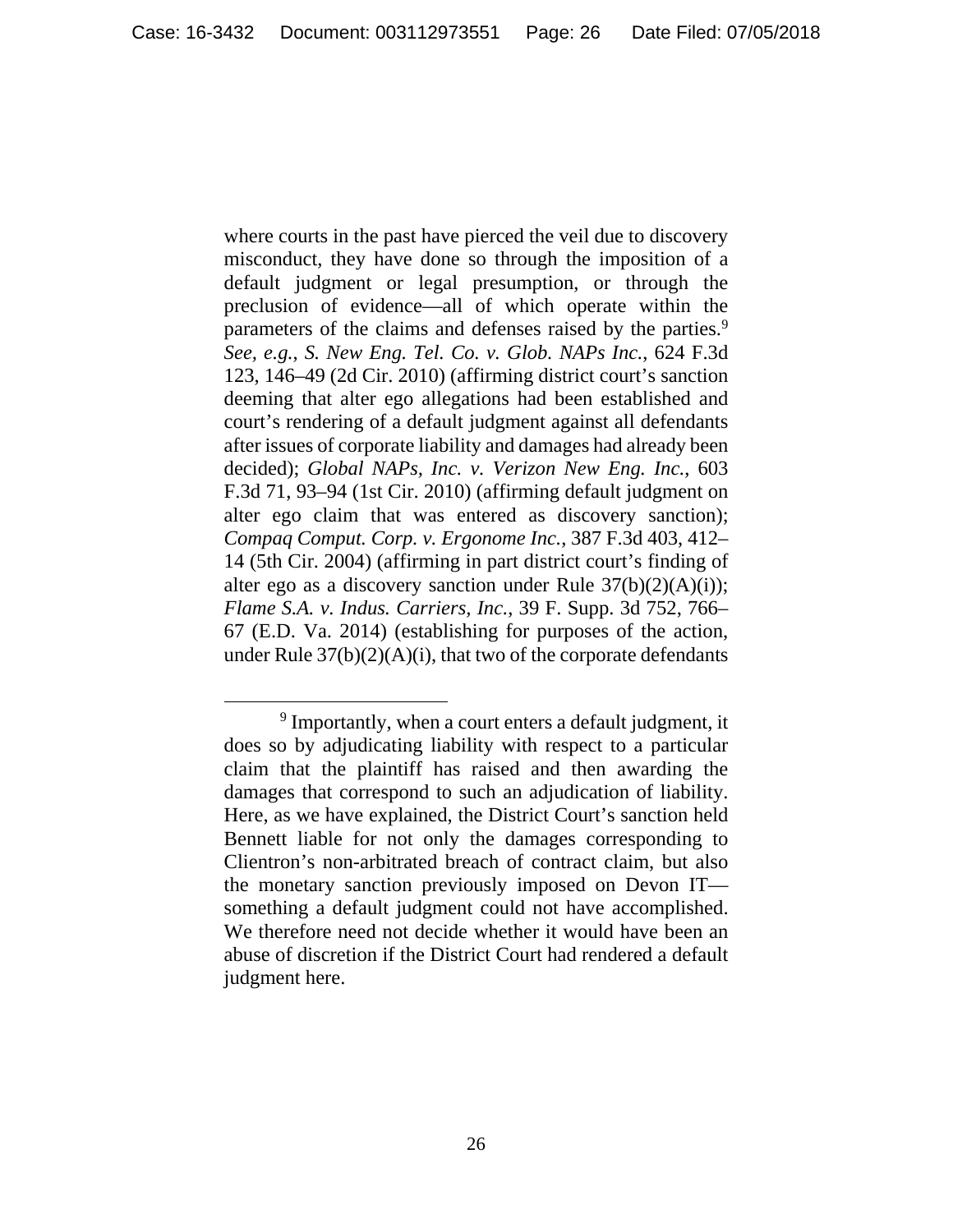where courts in the past have pierced the veil due to discovery misconduct, they have done so through the imposition of a default judgment or legal presumption, or through the preclusion of evidence—all of which operate within the parameters of the claims and defenses raised by the parties.<sup>9</sup> *See, e.g.*, *S. New Eng. Tel. Co. v. Glob. NAPs Inc.*, 624 F.3d 123, 146–49 (2d Cir. 2010) (affirming district court's sanction deeming that alter ego allegations had been established and court's rendering of a default judgment against all defendants after issues of corporate liability and damages had already been decided); *Global NAPs, Inc. v. Verizon New Eng. Inc.*, 603 F.3d 71, 93–94 (1st Cir. 2010) (affirming default judgment on alter ego claim that was entered as discovery sanction); *Compaq Comput. Corp. v. Ergonome Inc.*, 387 F.3d 403, 412– 14 (5th Cir. 2004) (affirming in part district court's finding of alter ego as a discovery sanction under Rule  $37(b)(2)(A)(i)$ ; *Flame S.A. v. Indus. Carriers, Inc.*, 39 F. Supp. 3d 752, 766– 67 (E.D. Va. 2014) (establishing for purposes of the action, under Rule  $37(b)(2)(A)(i)$ , that two of the corporate defendants

 <sup>9</sup> <sup>9</sup> Importantly, when a court enters a default judgment, it does so by adjudicating liability with respect to a particular claim that the plaintiff has raised and then awarding the damages that correspond to such an adjudication of liability. Here, as we have explained, the District Court's sanction held Bennett liable for not only the damages corresponding to Clientron's non-arbitrated breach of contract claim, but also the monetary sanction previously imposed on Devon IT something a default judgment could not have accomplished. We therefore need not decide whether it would have been an abuse of discretion if the District Court had rendered a default judgment here.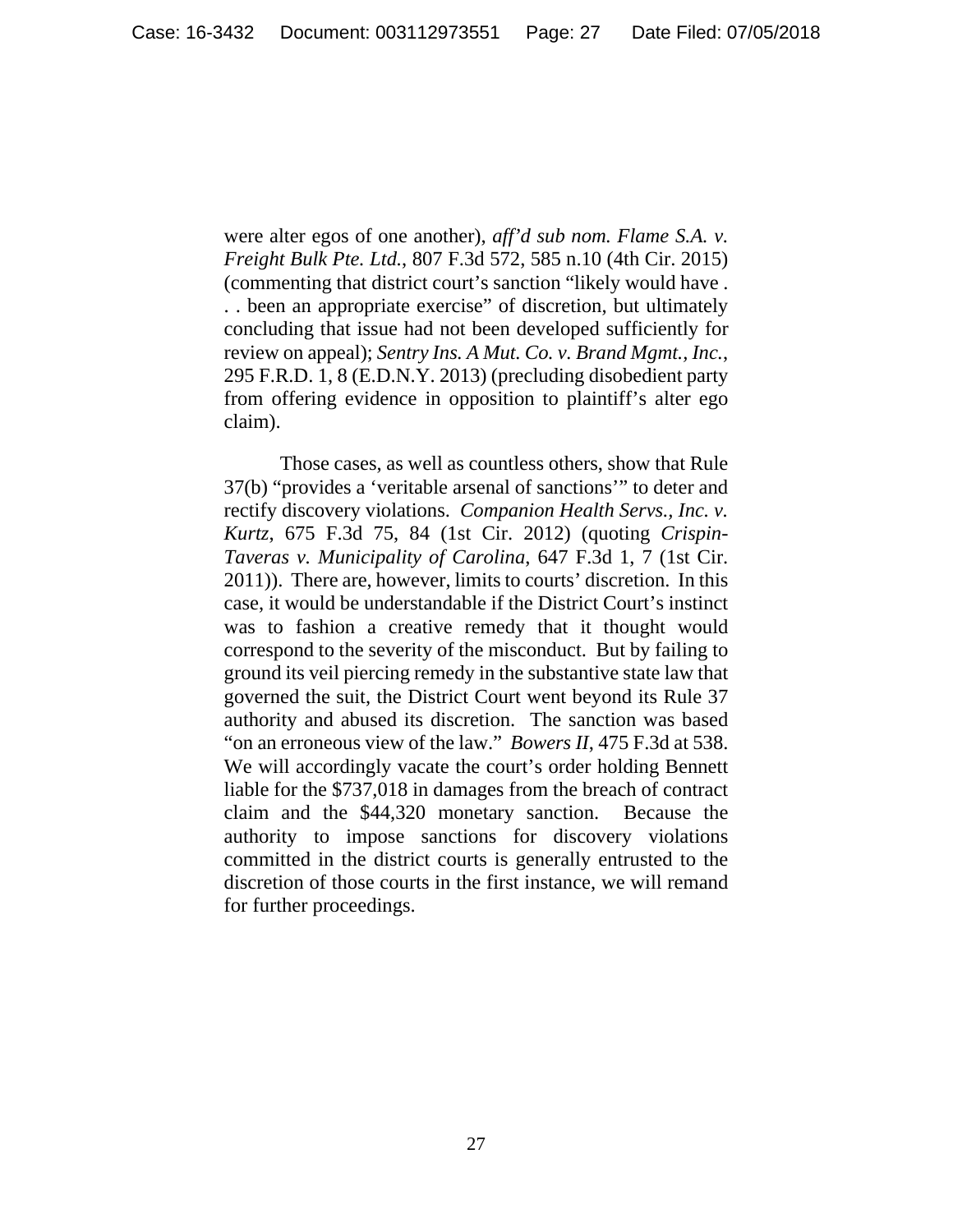were alter egos of one another), *aff'd sub nom. Flame S.A. v. Freight Bulk Pte. Ltd.*, 807 F.3d 572, 585 n.10 (4th Cir. 2015) (commenting that district court's sanction "likely would have . . . been an appropriate exercise" of discretion, but ultimately concluding that issue had not been developed sufficiently for review on appeal); *Sentry Ins. A Mut. Co. v. Brand Mgmt., Inc.*, 295 F.R.D. 1, 8 (E.D.N.Y. 2013) (precluding disobedient party from offering evidence in opposition to plaintiff's alter ego claim).

 Those cases, as well as countless others, show that Rule 37(b) "provides a 'veritable arsenal of sanctions'" to deter and rectify discovery violations. *Companion Health Servs., Inc. v. Kurtz*, 675 F.3d 75, 84 (1st Cir. 2012) (quoting *Crispin-Taveras v. Municipality of Carolina*, 647 F.3d 1, 7 (1st Cir. 2011)). There are, however, limits to courts' discretion. In this case, it would be understandable if the District Court's instinct was to fashion a creative remedy that it thought would correspond to the severity of the misconduct. But by failing to ground its veil piercing remedy in the substantive state law that governed the suit, the District Court went beyond its Rule 37 authority and abused its discretion. The sanction was based "on an erroneous view of the law." *Bowers II*, 475 F.3d at 538. We will accordingly vacate the court's order holding Bennett liable for the \$737,018 in damages from the breach of contract claim and the \$44,320 monetary sanction. Because the authority to impose sanctions for discovery violations committed in the district courts is generally entrusted to the discretion of those courts in the first instance, we will remand for further proceedings.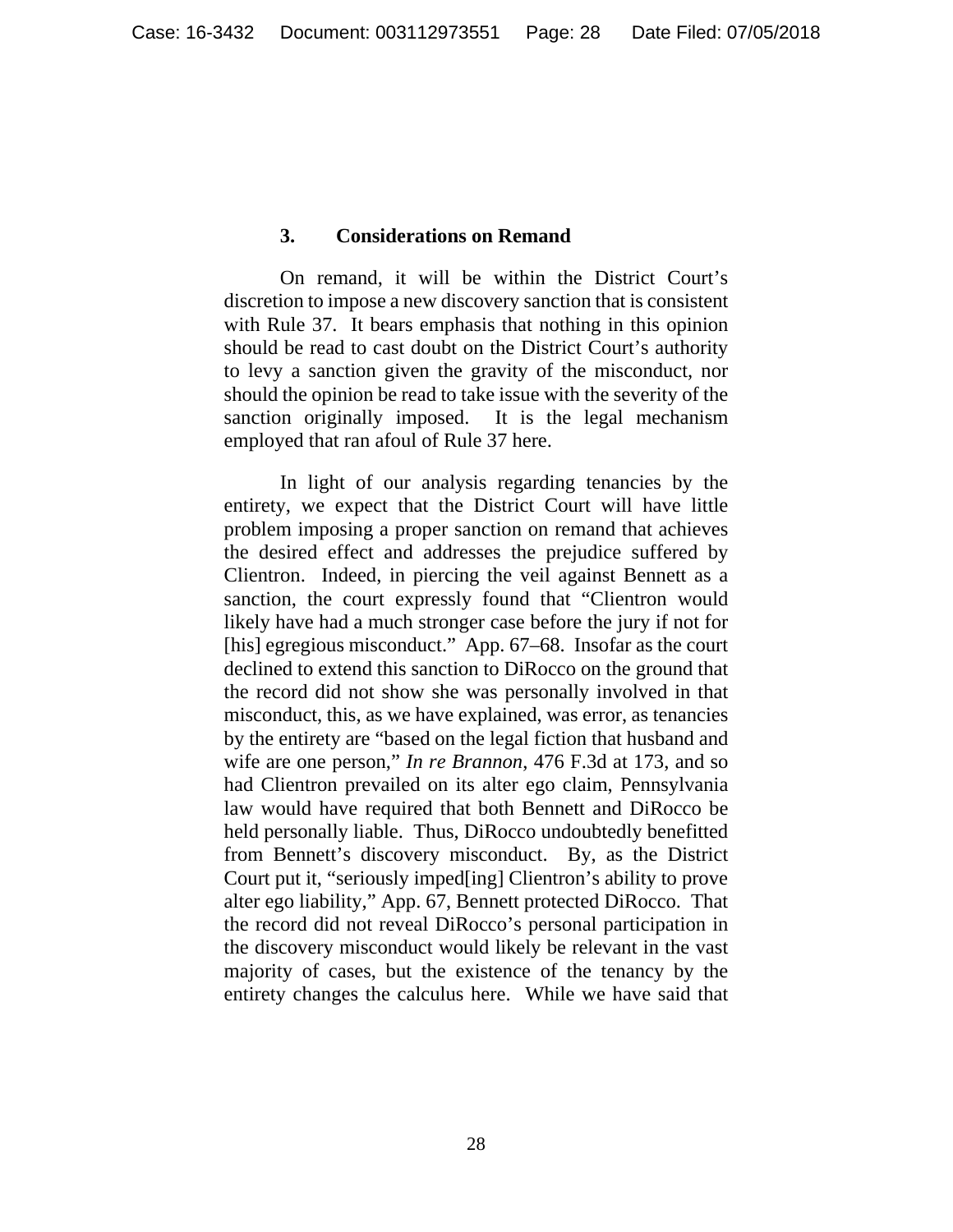#### **3. Considerations on Remand**

 On remand, it will be within the District Court's discretion to impose a new discovery sanction that is consistent with Rule 37. It bears emphasis that nothing in this opinion should be read to cast doubt on the District Court's authority to levy a sanction given the gravity of the misconduct, nor should the opinion be read to take issue with the severity of the sanction originally imposed. It is the legal mechanism employed that ran afoul of Rule 37 here.

 In light of our analysis regarding tenancies by the entirety, we expect that the District Court will have little problem imposing a proper sanction on remand that achieves the desired effect and addresses the prejudice suffered by Clientron. Indeed, in piercing the veil against Bennett as a sanction, the court expressly found that "Clientron would likely have had a much stronger case before the jury if not for [his] egregious misconduct." App. 67–68. Insofar as the court declined to extend this sanction to DiRocco on the ground that the record did not show she was personally involved in that misconduct, this, as we have explained, was error, as tenancies by the entirety are "based on the legal fiction that husband and wife are one person," *In re Brannon*, 476 F.3d at 173, and so had Clientron prevailed on its alter ego claim, Pennsylvania law would have required that both Bennett and DiRocco be held personally liable. Thus, DiRocco undoubtedly benefitted from Bennett's discovery misconduct. By, as the District Court put it, "seriously imped[ing] Clientron's ability to prove alter ego liability," App. 67, Bennett protected DiRocco. That the record did not reveal DiRocco's personal participation in the discovery misconduct would likely be relevant in the vast majority of cases, but the existence of the tenancy by the entirety changes the calculus here. While we have said that